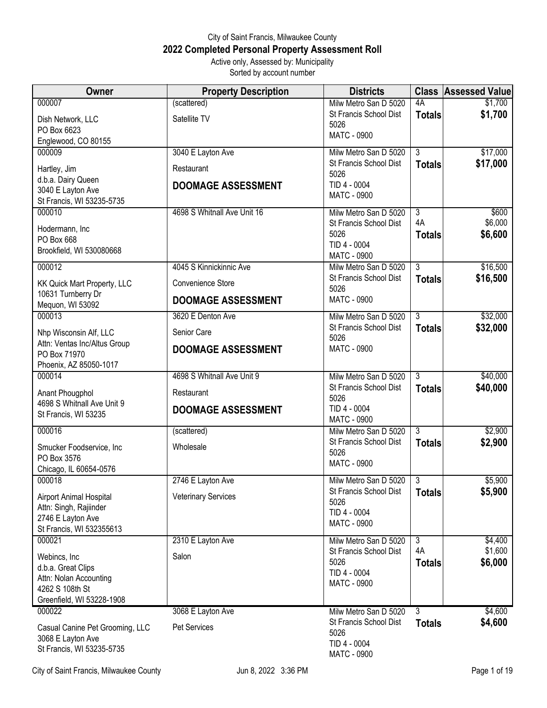## City of Saint Francis, Milwaukee County **2022 Completed Personal Property Assessment Roll** Active only, Assessed by: Municipality

Sorted by account number

| Owner                                       | <b>Property Description</b> | <b>Districts</b>                                |                                 | <b>Class Assessed Value</b> |
|---------------------------------------------|-----------------------------|-------------------------------------------------|---------------------------------|-----------------------------|
| 000007                                      | (scattered)                 | Milw Metro San D 5020                           | 4A                              | \$1,700                     |
| Dish Network, LLC                           | Satellite TV                | St Francis School Dist<br>5026                  | <b>Totals</b>                   | \$1,700                     |
| PO Box 6623                                 |                             | <b>MATC - 0900</b>                              |                                 |                             |
| Englewood, CO 80155<br>000009               | 3040 E Layton Ave           | Milw Metro San D 5020                           | $\overline{3}$                  | \$17,000                    |
|                                             |                             | St Francis School Dist                          | <b>Totals</b>                   | \$17,000                    |
| Hartley, Jim<br>d.b.a. Dairy Queen          | Restaurant                  | 5026                                            |                                 |                             |
| 3040 E Layton Ave                           | <b>DOOMAGE ASSESSMENT</b>   | TID 4 - 0004                                    |                                 |                             |
| St Francis, WI 53235-5735                   |                             | <b>MATC - 0900</b>                              |                                 |                             |
| 000010                                      | 4698 S Whitnall Ave Unit 16 | Milw Metro San D 5020                           | $\overline{3}$<br>4A            | \$600<br>\$6,000            |
| Hodermann, Inc                              |                             | St Francis School Dist<br>5026                  | <b>Totals</b>                   | \$6,600                     |
| PO Box 668<br>Brookfield, WI 530080668      |                             | TID 4 - 0004                                    |                                 |                             |
|                                             |                             | MATC - 0900                                     |                                 |                             |
| 000012                                      | 4045 S Kinnickinnic Ave     | Milw Metro San D 5020<br>St Francis School Dist | $\overline{3}$                  | \$16,500                    |
| KK Quick Mart Property, LLC                 | Convenience Store           | 5026                                            | <b>Totals</b>                   | \$16,500                    |
| 10631 Turnberry Dr<br>Mequon, WI 53092      | <b>DOOMAGE ASSESSMENT</b>   | <b>MATC - 0900</b>                              |                                 |                             |
| 000013                                      | 3620 E Denton Ave           | Milw Metro San D 5020                           | $\overline{3}$                  | \$32,000                    |
| Nhp Wisconsin Alf, LLC                      | Senior Care                 | St Francis School Dist<br>5026                  | <b>Totals</b>                   | \$32,000                    |
| Attn: Ventas Inc/Altus Group                | <b>DOOMAGE ASSESSMENT</b>   | <b>MATC - 0900</b>                              |                                 |                             |
| PO Box 71970<br>Phoenix, AZ 85050-1017      |                             |                                                 |                                 |                             |
| 000014                                      | 4698 S Whitnall Ave Unit 9  | Milw Metro San D 5020                           | $\overline{3}$                  | \$40,000                    |
| Anant Phougphol                             | Restaurant                  | St Francis School Dist                          | <b>Totals</b>                   | \$40,000                    |
| 4698 S Whitnall Ave Unit 9                  |                             | 5026<br>TID 4 - 0004                            |                                 |                             |
| St Francis, WI 53235                        | <b>DOOMAGE ASSESSMENT</b>   | <b>MATC - 0900</b>                              |                                 |                             |
| 000016                                      | (scattered)                 | Milw Metro San D 5020                           | $\overline{3}$                  | \$2,900                     |
| Smucker Foodservice, Inc                    | Wholesale                   | St Francis School Dist                          | <b>Totals</b>                   | \$2,900                     |
| PO Box 3576                                 |                             | 5026<br><b>MATC - 0900</b>                      |                                 |                             |
| Chicago, IL 60654-0576                      |                             |                                                 |                                 |                             |
| 000018                                      | 2746 E Layton Ave           | Milw Metro San D 5020<br>St Francis School Dist | $\overline{3}$<br><b>Totals</b> | \$5,900<br>\$5,900          |
| <b>Airport Animal Hospital</b>              | <b>Veterinary Services</b>  | 5026                                            |                                 |                             |
| Attn: Singh, Rajiinder<br>2746 E Layton Ave |                             | TID 4 - 0004                                    |                                 |                             |
| St Francis, WI 532355613                    |                             | <b>MATC - 0900</b>                              |                                 |                             |
| 000021                                      | 2310 E Layton Ave           | Milw Metro San D 5020                           | $\overline{3}$                  | \$4,400                     |
| Webincs, Inc                                | Salon                       | St Francis School Dist<br>5026                  | 4A                              | \$1,600<br>\$6,000          |
| d.b.a. Great Clips                          |                             | TID 4 - 0004                                    | <b>Totals</b>                   |                             |
| Attn: Nolan Accounting<br>4262 S 108th St   |                             | <b>MATC - 0900</b>                              |                                 |                             |
| Greenfield, WI 53228-1908                   |                             |                                                 |                                 |                             |
| 000022                                      | 3068 E Layton Ave           | Milw Metro San D 5020                           | 3                               | \$4,600                     |
| Casual Canine Pet Grooming, LLC             | Pet Services                | St Francis School Dist<br>5026                  | <b>Totals</b>                   | \$4,600                     |
| 3068 E Layton Ave                           |                             | TID 4 - 0004                                    |                                 |                             |
| St Francis, WI 53235-5735                   |                             | <b>MATC - 0900</b>                              |                                 |                             |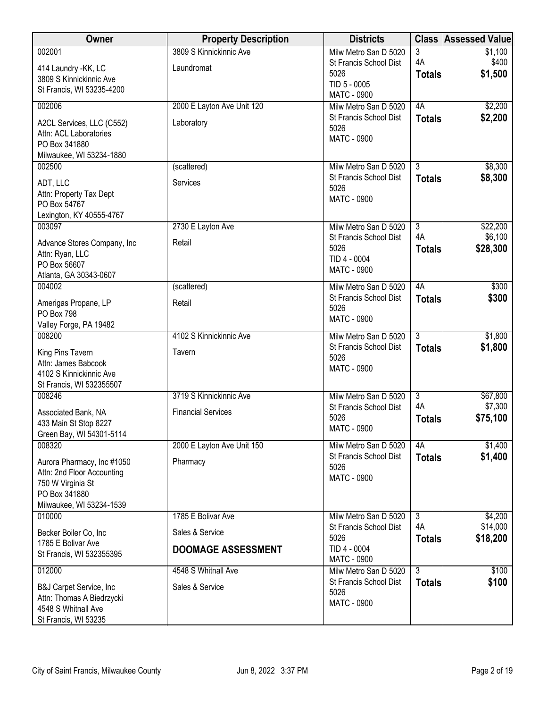| <b>Owner</b>                                     | <b>Property Description</b> | <b>Districts</b>                                |                                 | <b>Class Assessed Value</b> |
|--------------------------------------------------|-----------------------------|-------------------------------------------------|---------------------------------|-----------------------------|
| 002001                                           | 3809 S Kinnickinnic Ave     | Milw Metro San D 5020                           | 3                               | \$1,100                     |
| 414 Laundry -KK, LC                              | Laundromat                  | St Francis School Dist<br>5026                  | 4A<br><b>Totals</b>             | \$400<br>\$1,500            |
| 3809 S Kinnickinnic Ave                          |                             | TID 5 - 0005                                    |                                 |                             |
| St Francis, WI 53235-4200                        |                             | <b>MATC - 0900</b>                              |                                 |                             |
| 002006                                           | 2000 E Layton Ave Unit 120  | Milw Metro San D 5020                           | 4A                              | \$2,200                     |
| A2CL Services, LLC (C552)                        | Laboratory                  | St Francis School Dist<br>5026                  | <b>Totals</b>                   | \$2,200                     |
| Attn: ACL Laboratories                           |                             | MATC - 0900                                     |                                 |                             |
| PO Box 341880<br>Milwaukee, WI 53234-1880        |                             |                                                 |                                 |                             |
| 002500                                           | (scattered)                 | Milw Metro San D 5020                           | $\overline{3}$                  | \$8,300                     |
| ADT, LLC                                         | Services                    | St Francis School Dist                          | <b>Totals</b>                   | \$8,300                     |
| Attn: Property Tax Dept                          |                             | 5026                                            |                                 |                             |
| PO Box 54767                                     |                             | MATC - 0900                                     |                                 |                             |
| Lexington, KY 40555-4767                         |                             |                                                 |                                 |                             |
| 003097                                           | 2730 E Layton Ave           | Milw Metro San D 5020<br>St Francis School Dist | $\overline{3}$<br>4A            | \$22,200<br>\$6,100         |
| Advance Stores Company, Inc.                     | Retail                      | 5026                                            | <b>Totals</b>                   | \$28,300                    |
| Attn: Ryan, LLC<br>PO Box 56607                  |                             | TID 4 - 0004                                    |                                 |                             |
| Atlanta, GA 30343-0607                           |                             | MATC - 0900                                     |                                 |                             |
| 004002                                           | (scattered)                 | Milw Metro San D 5020                           | 4A                              | \$300                       |
| Amerigas Propane, LP                             | Retail                      | St Francis School Dist                          | <b>Totals</b>                   | \$300                       |
| <b>PO Box 798</b>                                |                             | 5026<br><b>MATC - 0900</b>                      |                                 |                             |
| Valley Forge, PA 19482                           |                             |                                                 |                                 |                             |
| 008200                                           | 4102 S Kinnickinnic Ave     | Milw Metro San D 5020<br>St Francis School Dist | $\overline{3}$<br><b>Totals</b> | \$1,800<br>\$1,800          |
| King Pins Tavern                                 | Tavern                      | 5026                                            |                                 |                             |
| Attn: James Babcook<br>4102 S Kinnickinnic Ave   |                             | <b>MATC - 0900</b>                              |                                 |                             |
| St Francis, WI 532355507                         |                             |                                                 |                                 |                             |
| 008246                                           | 3719 S Kinnickinnic Ave     | Milw Metro San D 5020                           | $\overline{3}$                  | \$67,800                    |
| Associated Bank, NA                              | <b>Financial Services</b>   | St Francis School Dist                          | 4A                              | \$7,300                     |
| 433 Main St Stop 8227                            |                             | 5026<br><b>MATC - 0900</b>                      | <b>Totals</b>                   | \$75,100                    |
| Green Bay, WI 54301-5114                         |                             |                                                 |                                 |                             |
| 008320                                           | 2000 E Layton Ave Unit 150  | Milw Metro San D 5020<br>St Francis School Dist | 4A<br><b>Totals</b>             | \$1,400<br>\$1,400          |
| Aurora Pharmacy, Inc #1050                       | Pharmacy                    | 5026                                            |                                 |                             |
| Attn: 2nd Floor Accounting<br>750 W Virginia St  |                             | MATC - 0900                                     |                                 |                             |
| PO Box 341880                                    |                             |                                                 |                                 |                             |
| Milwaukee, WI 53234-1539                         |                             |                                                 |                                 |                             |
| 010000                                           | 1785 E Bolivar Ave          | Milw Metro San D 5020<br>St Francis School Dist | $\overline{3}$<br>4A            | \$4,200<br>\$14,000         |
| Becker Boiler Co, Inc                            | Sales & Service             | 5026                                            | <b>Totals</b>                   | \$18,200                    |
| 1785 E Bolivar Ave<br>St Francis, WI 532355395   | <b>DOOMAGE ASSESSMENT</b>   | TID 4 - 0004                                    |                                 |                             |
|                                                  |                             | MATC - 0900                                     |                                 |                             |
| 012000                                           | 4548 S Whitnall Ave         | Milw Metro San D 5020<br>St Francis School Dist | $\overline{3}$<br><b>Totals</b> | \$100<br>\$100              |
| B&J Carpet Service, Inc                          | Sales & Service             | 5026                                            |                                 |                             |
| Attn: Thomas A Biedrzycki<br>4548 S Whitnall Ave |                             | MATC - 0900                                     |                                 |                             |
| St Francis, WI 53235                             |                             |                                                 |                                 |                             |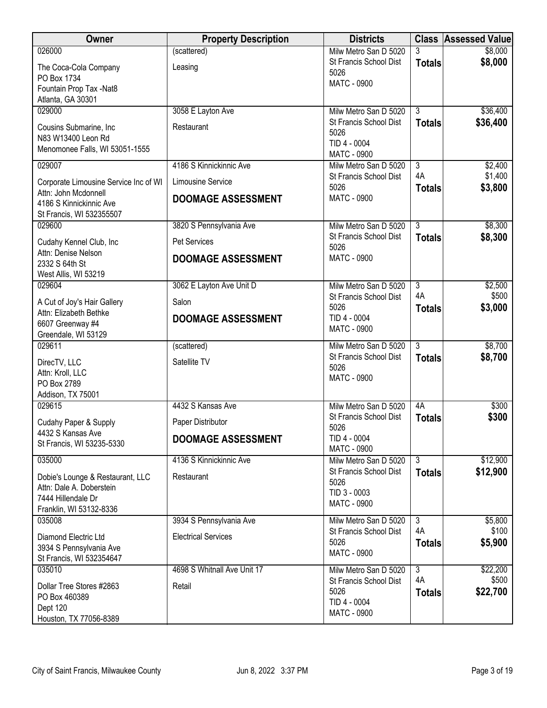| Owner                                                         | <b>Property Description</b> | <b>Districts</b>                                |                | <b>Class Assessed Value</b> |
|---------------------------------------------------------------|-----------------------------|-------------------------------------------------|----------------|-----------------------------|
| 026000                                                        | (scattered)                 | Milw Metro San D 5020                           | 3              | \$8,000                     |
| The Coca-Cola Company                                         | Leasing                     | St Francis School Dist<br>5026                  | <b>Totals</b>  | \$8,000                     |
| PO Box 1734                                                   |                             | <b>MATC - 0900</b>                              |                |                             |
| Fountain Prop Tax -Nat8<br>Atlanta, GA 30301                  |                             |                                                 |                |                             |
| 029000                                                        | 3058 E Layton Ave           | Milw Metro San D 5020                           | $\overline{3}$ | \$36,400                    |
| Cousins Submarine, Inc                                        | Restaurant                  | St Francis School Dist                          | <b>Totals</b>  | \$36,400                    |
| N83 W13400 Leon Rd                                            |                             | 5026                                            |                |                             |
| Menomonee Falls, WI 53051-1555                                |                             | TID 4 - 0004<br>MATC - 0900                     |                |                             |
| 029007                                                        | 4186 S Kinnickinnic Ave     | Milw Metro San D 5020                           | $\overline{3}$ | \$2,400                     |
|                                                               | <b>Limousine Service</b>    | St Francis School Dist                          | 4A             | \$1,400                     |
| Corporate Limousine Service Inc of WI<br>Attn: John Mcdonnell |                             | 5026                                            | <b>Totals</b>  | \$3,800                     |
| 4186 S Kinnickinnic Ave                                       | <b>DOOMAGE ASSESSMENT</b>   | MATC - 0900                                     |                |                             |
| St Francis, WI 532355507                                      |                             |                                                 |                |                             |
| 029600                                                        | 3820 S Pennsylvania Ave     | Milw Metro San D 5020                           | $\overline{3}$ | \$8,300                     |
| Cudahy Kennel Club, Inc                                       | Pet Services                | St Francis School Dist<br>5026                  | <b>Totals</b>  | \$8,300                     |
| Attn: Denise Nelson                                           | <b>DOOMAGE ASSESSMENT</b>   | MATC - 0900                                     |                |                             |
| 2332 S 64th St<br>West Allis, WI 53219                        |                             |                                                 |                |                             |
| 029604                                                        | 3062 E Layton Ave Unit D    | Milw Metro San D 5020                           | $\overline{3}$ | \$2,500                     |
| A Cut of Joy's Hair Gallery                                   | Salon                       | St Francis School Dist                          | 4A             | \$500                       |
| Attn: Elizabeth Bethke                                        |                             | 5026<br>TID 4 - 0004                            | <b>Totals</b>  | \$3,000                     |
| 6607 Greenway #4                                              | <b>DOOMAGE ASSESSMENT</b>   | MATC - 0900                                     |                |                             |
| Greendale, WI 53129<br>029611                                 |                             |                                                 | $\overline{3}$ |                             |
|                                                               | (scattered)                 | Milw Metro San D 5020<br>St Francis School Dist | <b>Totals</b>  | \$8,700<br>\$8,700          |
| DirecTV, LLC                                                  | Satellite TV                | 5026                                            |                |                             |
| Attn: Kroll, LLC<br>PO Box 2789                               |                             | MATC - 0900                                     |                |                             |
| Addison, TX 75001                                             |                             |                                                 |                |                             |
| 029615                                                        | 4432 S Kansas Ave           | Milw Metro San D 5020                           | 4A             | \$300                       |
| Cudahy Paper & Supply                                         | Paper Distributor           | St Francis School Dist<br>5026                  | <b>Totals</b>  | \$300                       |
| 4432 S Kansas Ave                                             | <b>DOOMAGE ASSESSMENT</b>   | TID 4 - 0004                                    |                |                             |
| St Francis, WI 53235-5330                                     |                             | MATC - 0900                                     |                |                             |
| 035000                                                        | 4136 S Kinnickinnic Ave     | Milw Metro San D 5020                           | $\overline{3}$ | \$12,900                    |
| Dobie's Lounge & Restaurant, LLC                              | Restaurant                  | St Francis School Dist<br>5026                  | <b>Totals</b>  | \$12,900                    |
| Attn: Dale A. Doberstein                                      |                             | TID 3 - 0003                                    |                |                             |
| 7444 Hillendale Dr<br>Franklin, WI 53132-8336                 |                             | MATC - 0900                                     |                |                             |
| 035008                                                        | 3934 S Pennsylvania Ave     | Milw Metro San D 5020                           | $\overline{3}$ | \$5,800                     |
| Diamond Electric Ltd                                          | <b>Electrical Services</b>  | St Francis School Dist                          | 4A             | \$100                       |
| 3934 S Pennsylvania Ave                                       |                             | 5026                                            | <b>Totals</b>  | \$5,900                     |
| St Francis, WI 532354647                                      |                             | MATC - 0900                                     |                |                             |
| 035010                                                        | 4698 S Whitnall Ave Unit 17 | Milw Metro San D 5020                           | $\overline{3}$ | \$22,200                    |
| Dollar Tree Stores #2863                                      | Retail                      | St Francis School Dist<br>5026                  | 4A             | \$500<br>\$22,700           |
| PO Box 460389                                                 |                             | TID 4 - 0004                                    | <b>Totals</b>  |                             |
| Dept 120<br>Houston, TX 77056-8389                            |                             | MATC - 0900                                     |                |                             |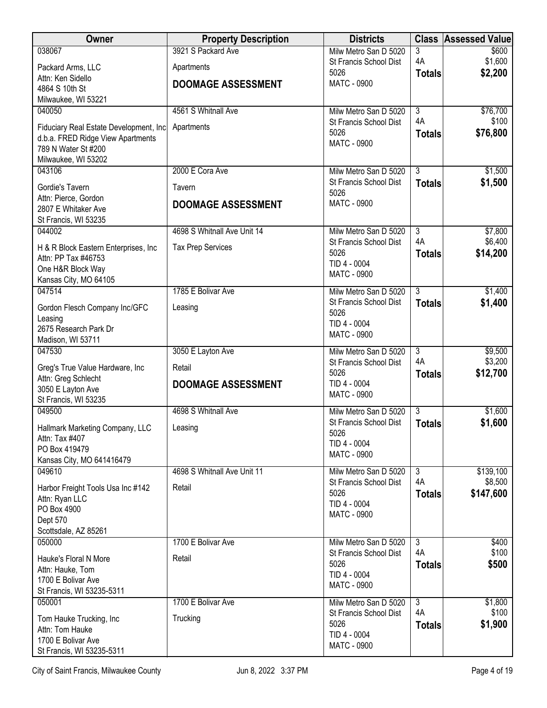| Owner                                                                       | <b>Property Description</b> | <b>Districts</b>                                |                | <b>Class Assessed Value</b> |
|-----------------------------------------------------------------------------|-----------------------------|-------------------------------------------------|----------------|-----------------------------|
| 038067                                                                      | 3921 S Packard Ave          | Milw Metro San D 5020                           | 3              | \$600                       |
| Packard Arms, LLC                                                           | Apartments                  | St Francis School Dist<br>5026                  | 4A             | \$1,600<br>\$2,200          |
| Attn: Ken Sidello                                                           | <b>DOOMAGE ASSESSMENT</b>   | MATC - 0900                                     | <b>Totals</b>  |                             |
| 4864 S 10th St<br>Milwaukee, WI 53221                                       |                             |                                                 |                |                             |
| 040050                                                                      | 4561 S Whitnall Ave         | Milw Metro San D 5020                           | $\overline{3}$ | \$76,700                    |
|                                                                             |                             | St Francis School Dist                          | 4A             | \$100                       |
| Fiduciary Real Estate Development, Inc<br>d.b.a. FRED Ridge View Apartments | Apartments                  | 5026                                            | <b>Totals</b>  | \$76,800                    |
| 789 N Water St #200                                                         |                             | <b>MATC - 0900</b>                              |                |                             |
| Milwaukee, WI 53202                                                         |                             |                                                 |                |                             |
| 043106                                                                      | 2000 E Cora Ave             | Milw Metro San D 5020                           | $\overline{3}$ | \$1,500                     |
| Gordie's Tavern                                                             | Tavern                      | St Francis School Dist<br>5026                  | <b>Totals</b>  | \$1,500                     |
| Attn: Pierce, Gordon                                                        | <b>DOOMAGE ASSESSMENT</b>   | <b>MATC - 0900</b>                              |                |                             |
| 2807 E Whitaker Ave<br>St Francis, WI 53235                                 |                             |                                                 |                |                             |
| 044002                                                                      | 4698 S Whitnall Ave Unit 14 | Milw Metro San D 5020                           | $\overline{3}$ | \$7,800                     |
| H & R Block Eastern Enterprises, Inc.                                       | <b>Tax Prep Services</b>    | St Francis School Dist                          | 4A             | \$6,400                     |
| Attn: PP Tax #46753                                                         |                             | 5026                                            | <b>Totals</b>  | \$14,200                    |
| One H&R Block Way                                                           |                             | TID 4 - 0004<br>MATC - 0900                     |                |                             |
| Kansas City, MO 64105                                                       |                             |                                                 |                |                             |
| 047514                                                                      | 1785 E Bolivar Ave          | Milw Metro San D 5020<br>St Francis School Dist | $\overline{3}$ | \$1,400                     |
| Gordon Flesch Company Inc/GFC                                               | Leasing                     | 5026                                            | <b>Totals</b>  | \$1,400                     |
| Leasing<br>2675 Research Park Dr                                            |                             | TID 4 - 0004                                    |                |                             |
| Madison, WI 53711                                                           |                             | MATC - 0900                                     |                |                             |
| 047530                                                                      | 3050 E Layton Ave           | Milw Metro San D 5020                           | $\overline{3}$ | \$9,500                     |
| Greg's True Value Hardware, Inc                                             | Retail                      | St Francis School Dist                          | 4A             | \$3,200                     |
| Attn: Greg Schlecht                                                         |                             | 5026                                            | <b>Totals</b>  | \$12,700                    |
| 3050 E Layton Ave                                                           | <b>DOOMAGE ASSESSMENT</b>   | TID 4 - 0004<br>MATC - 0900                     |                |                             |
| St Francis, WI 53235                                                        |                             |                                                 | $\overline{3}$ |                             |
| 049500                                                                      | 4698 S Whitnall Ave         | Milw Metro San D 5020<br>St Francis School Dist | <b>Totals</b>  | \$1,600<br>\$1,600          |
| Hallmark Marketing Company, LLC                                             | Leasing                     | 5026                                            |                |                             |
| Attn: Tax #407<br>PO Box 419479                                             |                             | TID 4 - 0004                                    |                |                             |
| Kansas City, MO 641416479                                                   |                             | <b>MATC - 0900</b>                              |                |                             |
| 049610                                                                      | 4698 S Whitnall Ave Unit 11 | Milw Metro San D 5020                           | 3              | \$139,100                   |
| Harbor Freight Tools Usa Inc #142                                           | Retail                      | St Francis School Dist                          | 4A             | \$8,500                     |
| Attn: Ryan LLC                                                              |                             | 5026<br>TID 4 - 0004                            | <b>Totals</b>  | \$147,600                   |
| PO Box 4900                                                                 |                             | MATC - 0900                                     |                |                             |
| Dept 570<br>Scottsdale, AZ 85261                                            |                             |                                                 |                |                             |
| 050000                                                                      | 1700 E Bolivar Ave          | Milw Metro San D 5020                           | $\overline{3}$ | \$400                       |
| Hauke's Floral N More                                                       | Retail                      | St Francis School Dist                          | 4A             | \$100                       |
| Attn: Hauke, Tom                                                            |                             | 5026                                            | <b>Totals</b>  | \$500                       |
| 1700 E Bolivar Ave                                                          |                             | TID 4 - 0004<br>MATC - 0900                     |                |                             |
| St Francis, WI 53235-5311                                                   |                             |                                                 |                |                             |
| 050001                                                                      | 1700 E Bolivar Ave          | Milw Metro San D 5020                           | 3<br>4A        | \$1,800<br>\$100            |
| Tom Hauke Trucking, Inc                                                     | Trucking                    | St Francis School Dist<br>5026                  | <b>Totals</b>  | \$1,900                     |
| Attn: Tom Hauke                                                             |                             | TID 4 - 0004                                    |                |                             |
| 1700 E Bolivar Ave<br>St Francis, WI 53235-5311                             |                             | MATC - 0900                                     |                |                             |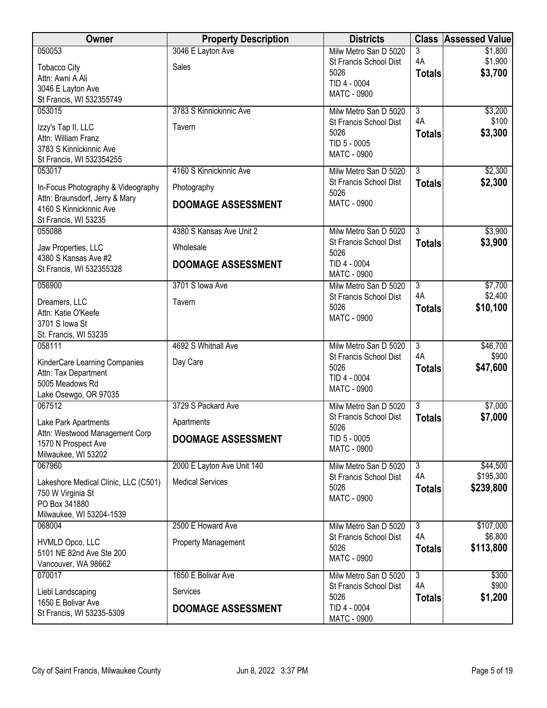| Owner                                                                                                                             | <b>Property Description</b>                                         | <b>Districts</b>                                                                              |                                       | <b>Class Assessed Value</b>        |
|-----------------------------------------------------------------------------------------------------------------------------------|---------------------------------------------------------------------|-----------------------------------------------------------------------------------------------|---------------------------------------|------------------------------------|
| 050053<br><b>Tobacco City</b><br>Attn: Awni A Ali<br>3046 E Layton Ave<br>St Francis, WI 532355749                                | 3046 E Layton Ave<br>Sales                                          | Milw Metro San D 5020<br>St Francis School Dist<br>5026<br>TID 4 - 0004<br><b>MATC - 0900</b> | 3<br>4A<br><b>Totals</b>              | \$1,800<br>\$1,900<br>\$3,700      |
| 053015<br>Izzy's Tap II, LLC<br>Attn: William Franz<br>3783 S Kinnickinnic Ave<br>St Francis, WI 532354255                        | 3783 S Kinnickinnic Ave<br>Tavern                                   | Milw Metro San D 5020<br>St Francis School Dist<br>5026<br>TID 5 - 0005<br>MATC - 0900        | $\overline{3}$<br>4A<br><b>Totals</b> | \$3,200<br>\$100<br>\$3,300        |
| 053017<br>In-Focus Photography & Videography<br>Attn: Braunsdorf, Jerry & Mary<br>4160 S Kinnickinnic Ave<br>St Francis, WI 53235 | 4160 S Kinnickinnic Ave<br>Photography<br><b>DOOMAGE ASSESSMENT</b> | Milw Metro San D 5020<br>St Francis School Dist<br>5026<br><b>MATC - 0900</b>                 | $\overline{3}$<br><b>Totals</b>       | \$2,300<br>\$2,300                 |
| 055088<br>Jaw Properties, LLC<br>4380 S Kansas Ave #2<br>St Francis, WI 532355328                                                 | 4380 S Kansas Ave Unit 2<br>Wholesale<br><b>DOOMAGE ASSESSMENT</b>  | Milw Metro San D 5020<br>St Francis School Dist<br>5026<br>TID 4 - 0004<br><b>MATC - 0900</b> | $\overline{3}$<br><b>Totals</b>       | \$3,900<br>\$3,900                 |
| 056900<br>Dreamers, LLC<br>Attn: Katie O'Keefe<br>3701 S lowa St<br>St. Francis, WI 53235                                         | 3701 S Iowa Ave<br>Tavern                                           | Milw Metro San D 5020<br>St Francis School Dist<br>5026<br><b>MATC - 0900</b>                 | $\overline{3}$<br>4A<br><b>Totals</b> | \$7,700<br>\$2,400<br>\$10,100     |
| 058111<br>KinderCare Learning Companies<br>Attn: Tax Department<br>5005 Meadows Rd<br>Lake Osewgo, OR 97035                       | 4692 S Whitnall Ave<br>Day Care                                     | Milw Metro San D 5020<br>St Francis School Dist<br>5026<br>TID 4 - 0004<br><b>MATC - 0900</b> | $\overline{3}$<br>4A<br><b>Totals</b> | \$46,700<br>\$900<br>\$47,600      |
| 067512<br>Lake Park Apartments<br>Attn: Westwood Management Corp<br>1570 N Prospect Ave<br>Milwaukee, WI 53202                    | 3729 S Packard Ave<br>Apartments<br><b>DOOMAGE ASSESSMENT</b>       | Milw Metro San D 5020<br>St Francis School Dist<br>5026<br>TID 5 - 0005<br>MATC - 0900        | $\overline{3}$<br><b>Totals</b>       | \$7,000<br>\$7,000                 |
| 067960<br>Lakeshore Medical Clinic, LLC (C501)<br>750 W Virginia St<br>PO Box 341880<br>Milwaukee, WI 53204-1539                  | 2000 E Layton Ave Unit 140<br><b>Medical Services</b>               | Milw Metro San D 5020<br>St Francis School Dist<br>5026<br><b>MATC - 0900</b>                 | $\overline{3}$<br>4A<br><b>Totals</b> | \$44,500<br>\$195,300<br>\$239,800 |
| 068004<br>HVMLD Opco, LLC<br>5101 NE 82nd Ave Ste 200<br>Vancouver, WA 98662                                                      | 2500 E Howard Ave<br>Property Management                            | Milw Metro San D 5020<br>St Francis School Dist<br>5026<br><b>MATC - 0900</b>                 | $\overline{3}$<br>4A<br><b>Totals</b> | \$107,000<br>\$6,800<br>\$113,800  |
| 070017<br>Liebl Landscaping<br>1650 E Bolivar Ave<br>St Francis, WI 53235-5309                                                    | 1650 E Bolivar Ave<br>Services<br><b>DOOMAGE ASSESSMENT</b>         | Milw Metro San D 5020<br>St Francis School Dist<br>5026<br>TID 4 - 0004<br>MATC - 0900        | $\overline{3}$<br>4A<br><b>Totals</b> | \$300<br>\$900<br>\$1,200          |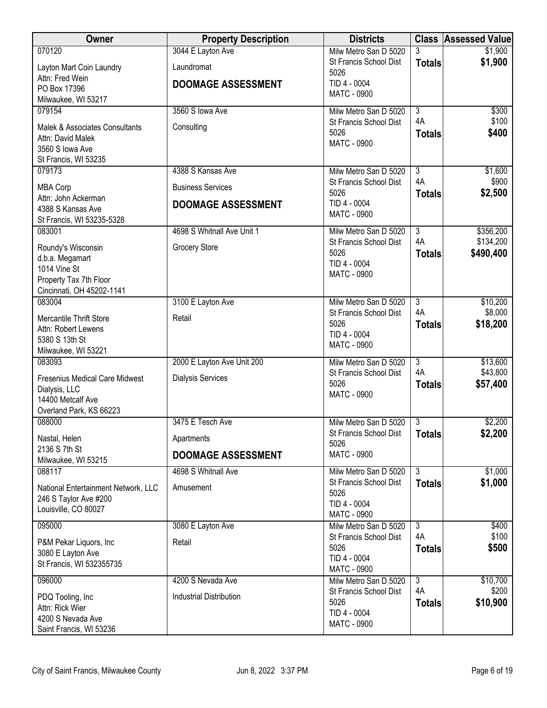| Owner                                               | <b>Property Description</b>    | <b>Districts</b>                                |                           | <b>Class Assessed Value</b> |
|-----------------------------------------------------|--------------------------------|-------------------------------------------------|---------------------------|-----------------------------|
| 070120                                              | 3044 E Layton Ave              | Milw Metro San D 5020                           | 3                         | \$1,900                     |
| Layton Mart Coin Laundry                            | Laundromat                     | St Francis School Dist<br>5026                  | <b>Totals</b>             | \$1,900                     |
| Attn: Fred Wein<br>PO Box 17396                     | <b>DOOMAGE ASSESSMENT</b>      | TID 4 - 0004                                    |                           |                             |
| Milwaukee, WI 53217                                 |                                | <b>MATC - 0900</b>                              |                           |                             |
| 079154                                              | 3560 S Iowa Ave                | Milw Metro San D 5020                           | $\overline{3}$            | \$300                       |
| Malek & Associates Consultants                      | Consulting                     | St Francis School Dist<br>5026                  | 4A                        | \$100                       |
| Attn: David Malek                                   |                                | MATC - 0900                                     | <b>Totals</b>             | \$400                       |
| 3560 S lowa Ave<br>St Francis, WI 53235             |                                |                                                 |                           |                             |
| 079173                                              | 4388 S Kansas Ave              | Milw Metro San D 5020                           | $\overline{3}$            | \$1,600                     |
| <b>MBA Corp</b>                                     | <b>Business Services</b>       | St Francis School Dist                          | 4A                        | \$900                       |
| Attn: John Ackerman                                 | <b>DOOMAGE ASSESSMENT</b>      | 5026<br>TID 4 - 0004                            | <b>Totals</b>             | \$2,500                     |
| 4388 S Kansas Ave                                   |                                | <b>MATC - 0900</b>                              |                           |                             |
| St Francis, WI 53235-5328<br>083001                 | 4698 S Whitnall Ave Unit 1     | Milw Metro San D 5020                           | $\overline{3}$            | \$356,200                   |
| Roundy's Wisconsin                                  | <b>Grocery Store</b>           | St Francis School Dist                          | 4A                        | \$134,200                   |
| d.b.a. Megamart                                     |                                | 5026                                            | <b>Totals</b>             | \$490,400                   |
| 1014 Vine St                                        |                                | TID 4 - 0004<br><b>MATC - 0900</b>              |                           |                             |
| Property Tax 7th Floor<br>Cincinnati, OH 45202-1141 |                                |                                                 |                           |                             |
| 083004                                              | 3100 E Layton Ave              | Milw Metro San D 5020                           | $\overline{3}$            | \$10,200                    |
| Mercantile Thrift Store                             | Retail                         | St Francis School Dist                          | 4A                        | \$8,000                     |
| Attn: Robert Lewens                                 |                                | 5026<br>TID 4 - 0004                            | <b>Totals</b>             | \$18,200                    |
| 5380 S 13th St                                      |                                | <b>MATC - 0900</b>                              |                           |                             |
| Milwaukee, WI 53221<br>083093                       | 2000 E Layton Ave Unit 200     | Milw Metro San D 5020                           | $\overline{3}$            | \$13,600                    |
| <b>Fresenius Medical Care Midwest</b>               |                                | St Francis School Dist                          | 4A                        | \$43,800                    |
| Dialysis, LLC                                       | <b>Dialysis Services</b>       | 5026                                            | <b>Totals</b>             | \$57,400                    |
| 14400 Metcalf Ave                                   |                                | <b>MATC - 0900</b>                              |                           |                             |
| Overland Park, KS 66223<br>088000                   | 3475 E Tesch Ave               |                                                 |                           |                             |
|                                                     |                                | Milw Metro San D 5020<br>St Francis School Dist | 3<br><b>Totals</b>        | \$2,200<br>\$2,200          |
| Nastal, Helen<br>2136 S 7th St                      | Apartments                     | 5026                                            |                           |                             |
| Milwaukee, WI 53215                                 | <b>DOOMAGE ASSESSMENT</b>      | MATC - 0900                                     |                           |                             |
| 088117                                              | 4698 S Whitnall Ave            | Milw Metro San D 5020                           | $\overline{\overline{3}}$ | \$1,000                     |
| National Entertainment Network, LLC                 | Amusement                      | St Francis School Dist<br>5026                  | <b>Totals</b>             | \$1,000                     |
| 246 S Taylor Ave #200<br>Louisville, CO 80027       |                                | TID 4 - 0004                                    |                           |                             |
|                                                     |                                | <b>MATC - 0900</b>                              |                           |                             |
| 095000                                              | 3080 E Layton Ave              | Milw Metro San D 5020<br>St Francis School Dist | $\overline{3}$<br>4A      | \$400<br>\$100              |
| P&M Pekar Liquors, Inc.                             | Retail                         | 5026                                            | <b>Totals</b>             | \$500                       |
| 3080 E Layton Ave<br>St Francis, WI 532355735       |                                | TID 4 - 0004                                    |                           |                             |
| 096000                                              | 4200 S Nevada Ave              | MATC - 0900<br>Milw Metro San D 5020            | $\overline{3}$            | \$10,700                    |
|                                                     |                                | St Francis School Dist                          | 4A                        | \$200                       |
| PDQ Tooling, Inc.<br>Attn: Rick Wier                | <b>Industrial Distribution</b> | 5026                                            | <b>Totals</b>             | \$10,900                    |
| 4200 S Nevada Ave                                   |                                | TID 4 - 0004<br>MATC - 0900                     |                           |                             |
| Saint Francis, WI 53236                             |                                |                                                 |                           |                             |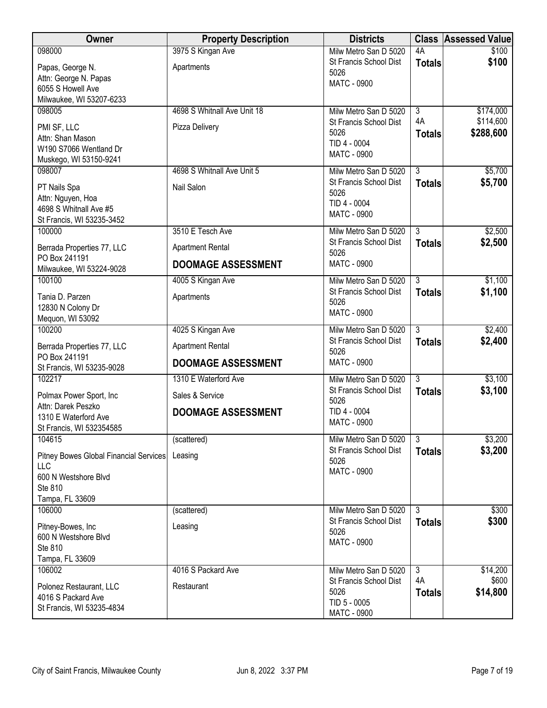| Owner                                         | <b>Property Description</b> | <b>Districts</b>                                |                | <b>Class Assessed Value</b> |
|-----------------------------------------------|-----------------------------|-------------------------------------------------|----------------|-----------------------------|
| 098000                                        | 3975 S Kingan Ave           | Milw Metro San D 5020                           | 4A             | \$100                       |
| Papas, George N.                              | Apartments                  | St Francis School Dist<br>5026                  | <b>Totals</b>  | \$100                       |
| Attn: George N. Papas                         |                             | MATC - 0900                                     |                |                             |
| 6055 S Howell Ave<br>Milwaukee, WI 53207-6233 |                             |                                                 |                |                             |
| 098005                                        | 4698 S Whitnall Ave Unit 18 | Milw Metro San D 5020                           | $\overline{3}$ | \$174,000                   |
| PMI SF, LLC                                   | Pizza Delivery              | St Francis School Dist                          | 4A             | \$114,600                   |
| Attn: Shan Mason                              |                             | 5026                                            | <b>Totals</b>  | \$288,600                   |
| W190 S7066 Wentland Dr                        |                             | TID 4 - 0004<br>MATC - 0900                     |                |                             |
| Muskego, WI 53150-9241                        |                             |                                                 |                |                             |
| 098007                                        | 4698 S Whitnall Ave Unit 5  | Milw Metro San D 5020<br>St Francis School Dist | $\overline{3}$ | \$5,700<br>\$5,700          |
| PT Nails Spa                                  | Nail Salon                  | 5026                                            | <b>Totals</b>  |                             |
| Attn: Nguyen, Hoa<br>4698 S Whitnall Ave #5   |                             | TID 4 - 0004                                    |                |                             |
| St Francis, WI 53235-3452                     |                             | <b>MATC - 0900</b>                              |                |                             |
| 100000                                        | 3510 E Tesch Ave            | Milw Metro San D 5020                           | $\overline{3}$ | \$2,500                     |
| Berrada Properties 77, LLC                    | <b>Apartment Rental</b>     | St Francis School Dist<br>5026                  | <b>Totals</b>  | \$2,500                     |
| PO Box 241191<br>Milwaukee, WI 53224-9028     | <b>DOOMAGE ASSESSMENT</b>   | <b>MATC - 0900</b>                              |                |                             |
| 100100                                        | 4005 S Kingan Ave           | Milw Metro San D 5020                           | $\overline{3}$ | \$1,100                     |
| Tania D. Parzen                               | Apartments                  | St Francis School Dist<br>5026                  | <b>Totals</b>  | \$1,100                     |
| 12830 N Colony Dr                             |                             | <b>MATC - 0900</b>                              |                |                             |
| Mequon, WI 53092<br>100200                    | 4025 S Kingan Ave           | Milw Metro San D 5020                           | $\overline{3}$ | \$2,400                     |
|                                               |                             | St Francis School Dist                          | <b>Totals</b>  | \$2,400                     |
| Berrada Properties 77, LLC<br>PO Box 241191   | <b>Apartment Rental</b>     | 5026                                            |                |                             |
| St Francis, WI 53235-9028                     | <b>DOOMAGE ASSESSMENT</b>   | <b>MATC - 0900</b>                              |                |                             |
| 102217                                        | 1310 E Waterford Ave        | Milw Metro San D 5020                           | $\overline{3}$ | \$3,100                     |
| Polmax Power Sport, Inc.                      | Sales & Service             | St Francis School Dist<br>5026                  | <b>Totals</b>  | \$3,100                     |
| Attn: Darek Peszko<br>1310 E Waterford Ave    | <b>DOOMAGE ASSESSMENT</b>   | TID 4 - 0004                                    |                |                             |
| St Francis, WI 532354585                      |                             | <b>MATC - 0900</b>                              |                |                             |
| 104615                                        | (scattered)                 | Milw Metro San D 5020                           | $\overline{3}$ | \$3,200                     |
| Pitney Bowes Global Financial Services        | Leasing                     | St Francis School Dist                          | <b>Totals</b>  | \$3,200                     |
| LLC                                           |                             | 5026<br>MATC - 0900                             |                |                             |
| 600 N Westshore Blvd                          |                             |                                                 |                |                             |
| Ste 810<br>Tampa, FL 33609                    |                             |                                                 |                |                             |
| 106000                                        | (scattered)                 | Milw Metro San D 5020                           | 3              | \$300                       |
| Pitney-Bowes, Inc                             | Leasing                     | St Francis School Dist                          | <b>Totals</b>  | \$300                       |
| 600 N Westshore Blvd                          |                             | 5026<br><b>MATC - 0900</b>                      |                |                             |
| Ste 810                                       |                             |                                                 |                |                             |
| Tampa, FL 33609<br>106002                     | 4016 S Packard Ave          | Milw Metro San D 5020                           | $\overline{3}$ | \$14,200                    |
|                                               |                             | St Francis School Dist                          | 4A             | \$600                       |
| Polonez Restaurant, LLC<br>4016 S Packard Ave | Restaurant                  | 5026                                            | <b>Totals</b>  | \$14,800                    |
| St Francis, WI 53235-4834                     |                             | TID 5 - 0005                                    |                |                             |
|                                               |                             | MATC - 0900                                     |                |                             |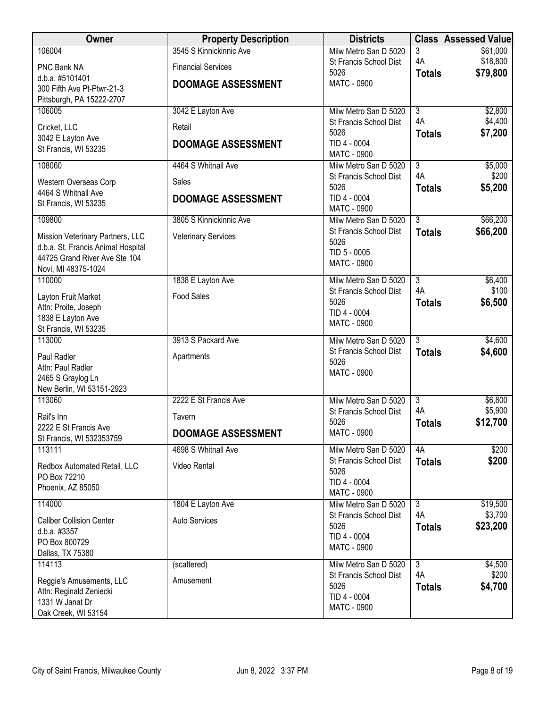| <b>Owner</b>                                            | <b>Property Description</b> | <b>Districts</b>                                |                                 | <b>Class Assessed Value</b> |
|---------------------------------------------------------|-----------------------------|-------------------------------------------------|---------------------------------|-----------------------------|
| 106004                                                  | 3545 S Kinnickinnic Ave     | Milw Metro San D 5020                           | 3                               | \$61,000                    |
| PNC Bank NA                                             | <b>Financial Services</b>   | St Francis School Dist<br>5026                  | 4A<br><b>Totals</b>             | \$18,800<br>\$79,800        |
| d.b.a. #5101401                                         | <b>DOOMAGE ASSESSMENT</b>   | MATC - 0900                                     |                                 |                             |
| 300 Fifth Ave Pt-Ptwr-21-3<br>Pittsburgh, PA 15222-2707 |                             |                                                 |                                 |                             |
| 106005                                                  | 3042 E Layton Ave           | Milw Metro San D 5020                           | $\overline{3}$                  | \$2,800                     |
| Cricket, LLC                                            | Retail                      | St Francis School Dist                          | 4A                              | \$4,400                     |
| 3042 E Layton Ave                                       |                             | 5026<br>TID 4 - 0004                            | <b>Totals</b>                   | \$7,200                     |
| St Francis, WI 53235                                    | <b>DOOMAGE ASSESSMENT</b>   | MATC - 0900                                     |                                 |                             |
| 108060                                                  | 4464 S Whitnall Ave         | Milw Metro San D 5020                           | $\overline{3}$                  | \$5,000                     |
| Western Overseas Corp                                   | Sales                       | St Francis School Dist                          | 4A                              | \$200                       |
| 4464 S Whitnall Ave                                     | <b>DOOMAGE ASSESSMENT</b>   | 5026<br>TID 4 - 0004                            | <b>Totals</b>                   | \$5,200                     |
| St Francis, WI 53235                                    |                             | MATC - 0900                                     |                                 |                             |
| 109800                                                  | 3805 S Kinnickinnic Ave     | Milw Metro San D 5020                           | $\overline{3}$                  | \$66,200                    |
| Mission Veterinary Partners, LLC                        | <b>Veterinary Services</b>  | St Francis School Dist                          | <b>Totals</b>                   | \$66,200                    |
| d.b.a. St. Francis Animal Hospital                      |                             | 5026<br>TID 5 - 0005                            |                                 |                             |
| 44725 Grand River Ave Ste 104<br>Novi, MI 48375-1024    |                             | <b>MATC - 0900</b>                              |                                 |                             |
| 110000                                                  | 1838 E Layton Ave           | Milw Metro San D 5020                           | $\overline{3}$                  | \$6,400                     |
| Layton Fruit Market                                     | <b>Food Sales</b>           | St Francis School Dist                          | 4A                              | \$100                       |
| Attn: Proite, Joseph                                    |                             | 5026                                            | <b>Totals</b>                   | \$6,500                     |
| 1838 E Layton Ave                                       |                             | TID 4 - 0004<br>MATC - 0900                     |                                 |                             |
| St Francis, WI 53235                                    |                             |                                                 |                                 |                             |
| 113000                                                  | 3913 S Packard Ave          | Milw Metro San D 5020<br>St Francis School Dist | $\overline{3}$<br><b>Totals</b> | \$4,600<br>\$4,600          |
| Paul Radler                                             | Apartments                  | 5026                                            |                                 |                             |
| Attn: Paul Radler<br>2465 S Graylog Ln                  |                             | MATC - 0900                                     |                                 |                             |
| New Berlin, WI 53151-2923                               |                             |                                                 |                                 |                             |
| 113060                                                  | 2222 E St Francis Ave       | Milw Metro San D 5020                           | $\overline{3}$                  | \$6,800                     |
| Rail's Inn                                              | Tavern                      | St Francis School Dist<br>5026                  | 4A<br><b>Totals</b>             | \$5,900<br>\$12,700         |
| 2222 E St Francis Ave                                   | <b>DOOMAGE ASSESSMENT</b>   | <b>MATC - 0900</b>                              |                                 |                             |
| St Francis, WI 532353759<br>113111                      | 4698 S Whitnall Ave         | Milw Metro San D 5020                           | 4A                              | \$200                       |
|                                                         | Video Rental                | St Francis School Dist                          | <b>Totals</b>                   | \$200                       |
| Redbox Automated Retail, LLC<br>PO Box 72210            |                             | 5026                                            |                                 |                             |
| Phoenix, AZ 85050                                       |                             | TID 4 - 0004<br>MATC - 0900                     |                                 |                             |
| 114000                                                  | 1804 E Layton Ave           | Milw Metro San D 5020                           | 3                               | \$19,500                    |
| <b>Caliber Collision Center</b>                         | <b>Auto Services</b>        | St Francis School Dist                          | 4A                              | \$3,700                     |
| d.b.a. #3357                                            |                             | 5026                                            | <b>Totals</b>                   | \$23,200                    |
| PO Box 800729                                           |                             | TID 4 - 0004<br>MATC - 0900                     |                                 |                             |
| Dallas, TX 75380                                        |                             |                                                 |                                 |                             |
| 114113                                                  | (scattered)                 | Milw Metro San D 5020<br>St Francis School Dist | $\overline{3}$<br>4A            | \$4,500<br>\$200            |
| Reggie's Amusements, LLC                                | Amusement                   | 5026                                            | <b>Totals</b>                   | \$4,700                     |
| Attn: Reginald Zeniecki<br>1331 W Janat Dr              |                             | TID 4 - 0004                                    |                                 |                             |
| Oak Creek, WI 53154                                     |                             | MATC - 0900                                     |                                 |                             |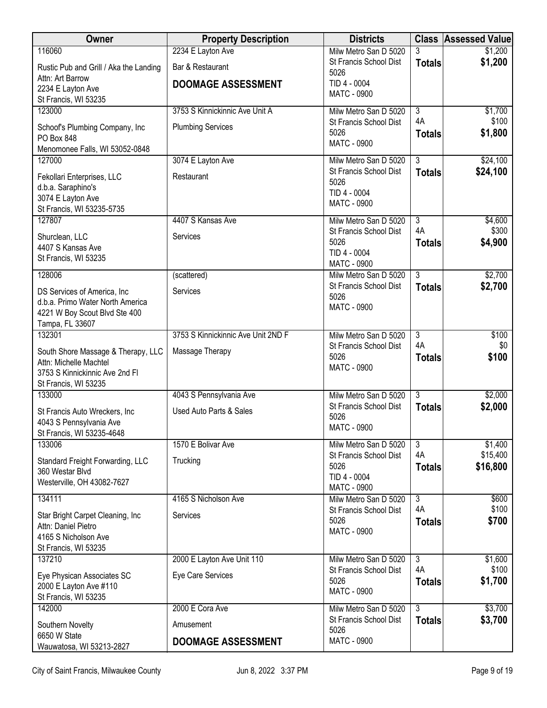| Owner                                                             | <b>Property Description</b>        | <b>Districts</b>                                |                                 | <b>Class Assessed Value</b> |
|-------------------------------------------------------------------|------------------------------------|-------------------------------------------------|---------------------------------|-----------------------------|
| 116060                                                            | 2234 E Layton Ave                  | Milw Metro San D 5020                           | 3                               | \$1,200                     |
| Rustic Pub and Grill / Aka the Landing                            | Bar & Restaurant                   | St Francis School Dist<br>5026                  | <b>Totals</b>                   | \$1,200                     |
| Attn: Art Barrow<br>2234 E Layton Ave                             | <b>DOOMAGE ASSESSMENT</b>          | TID 4 - 0004                                    |                                 |                             |
| St Francis, WI 53235                                              |                                    | MATC - 0900                                     |                                 |                             |
| 123000                                                            | 3753 S Kinnickinnic Ave Unit A     | Milw Metro San D 5020                           | $\overline{3}$                  | \$1,700                     |
| Schoof's Plumbing Company, Inc                                    | <b>Plumbing Services</b>           | St Francis School Dist                          | 4A                              | \$100                       |
| PO Box 848                                                        |                                    | 5026<br>MATC - 0900                             | <b>Totals</b>                   | \$1,800                     |
| Menomonee Falls, WI 53052-0848<br>127000                          | 3074 E Layton Ave                  | Milw Metro San D 5020                           | $\overline{3}$                  | \$24,100                    |
|                                                                   |                                    | St Francis School Dist                          | <b>Totals</b>                   | \$24,100                    |
| Fekollari Enterprises, LLC<br>d.b.a. Saraphino's                  | Restaurant                         | 5026                                            |                                 |                             |
| 3074 E Layton Ave                                                 |                                    | TID 4 - 0004                                    |                                 |                             |
| St Francis, WI 53235-5735                                         |                                    | <b>MATC - 0900</b>                              |                                 |                             |
| 127807                                                            | 4407 S Kansas Ave                  | Milw Metro San D 5020                           | $\overline{3}$<br>4A            | \$4,600<br>\$300            |
| Shurclean, LLC                                                    | Services                           | St Francis School Dist<br>5026                  | <b>Totals</b>                   | \$4,900                     |
| 4407 S Kansas Ave<br>St Francis, WI 53235                         |                                    | TID 4 - 0004                                    |                                 |                             |
|                                                                   |                                    | <b>MATC - 0900</b>                              |                                 |                             |
| 128006                                                            | (scattered)                        | Milw Metro San D 5020<br>St Francis School Dist | $\overline{3}$<br><b>Totals</b> | \$2,700<br>\$2,700          |
| DS Services of America, Inc.                                      | Services                           | 5026                                            |                                 |                             |
| d.b.a. Primo Water North America<br>4221 W Boy Scout Blvd Ste 400 |                                    | <b>MATC - 0900</b>                              |                                 |                             |
| Tampa, FL 33607                                                   |                                    |                                                 |                                 |                             |
| 132301                                                            | 3753 S Kinnickinnic Ave Unit 2ND F | Milw Metro San D 5020                           | $\overline{3}$                  | \$100                       |
| South Shore Massage & Therapy, LLC                                | Massage Therapy                    | St Francis School Dist<br>5026                  | 4A<br><b>Totals</b>             | \$0<br>\$100                |
| Attn: Michelle Machtel                                            |                                    | <b>MATC - 0900</b>                              |                                 |                             |
| 3753 S Kinnickinnic Ave 2nd Fl<br>St Francis, WI 53235            |                                    |                                                 |                                 |                             |
| 133000                                                            | 4043 S Pennsylvania Ave            | Milw Metro San D 5020                           | $\overline{3}$                  | \$2,000                     |
| St Francis Auto Wreckers, Inc.                                    | Used Auto Parts & Sales            | St Francis School Dist                          | <b>Totals</b>                   | \$2,000                     |
| 4043 S Pennsylvania Ave                                           |                                    | 5026<br><b>MATC - 0900</b>                      |                                 |                             |
| St Francis, WI 53235-4648                                         | 1570 E Bolivar Ave                 |                                                 |                                 |                             |
| 133006                                                            |                                    | Milw Metro San D 5020<br>St Francis School Dist | $\overline{3}$<br>4A            | \$1,400<br>\$15,400         |
| Standard Freight Forwarding, LLC<br>360 Westar Blvd               | Trucking                           | 5026                                            | <b>Totals</b>                   | \$16,800                    |
| Westerville, OH 43082-7627                                        |                                    | TID 4 - 0004                                    |                                 |                             |
| 134111                                                            | 4165 S Nicholson Ave               | MATC - 0900<br>Milw Metro San D 5020            | $\overline{3}$                  | \$600                       |
| Star Bright Carpet Cleaning, Inc                                  | Services                           | St Francis School Dist                          | 4A                              | \$100                       |
| Attn: Daniel Pietro                                               |                                    | 5026                                            | <b>Totals</b>                   | \$700                       |
| 4165 S Nicholson Ave                                              |                                    | <b>MATC - 0900</b>                              |                                 |                             |
| St Francis, WI 53235<br>137210                                    |                                    |                                                 | $\overline{3}$                  |                             |
|                                                                   | 2000 E Layton Ave Unit 110         | Milw Metro San D 5020<br>St Francis School Dist | 4A                              | \$1,600<br>\$100            |
| Eye Physican Associates SC<br>2000 E Layton Ave #110              | Eye Care Services                  | 5026                                            | <b>Totals</b>                   | \$1,700                     |
| St Francis, WI 53235                                              |                                    | MATC - 0900                                     |                                 |                             |
| 142000                                                            | 2000 E Cora Ave                    | Milw Metro San D 5020                           | $\overline{3}$                  | \$3,700                     |
| Southern Novelty                                                  | Amusement                          | St Francis School Dist<br>5026                  | <b>Totals</b>                   | \$3,700                     |
| 6650 W State                                                      | <b>DOOMAGE ASSESSMENT</b>          | <b>MATC - 0900</b>                              |                                 |                             |
| Wauwatosa, WI 53213-2827                                          |                                    |                                                 |                                 |                             |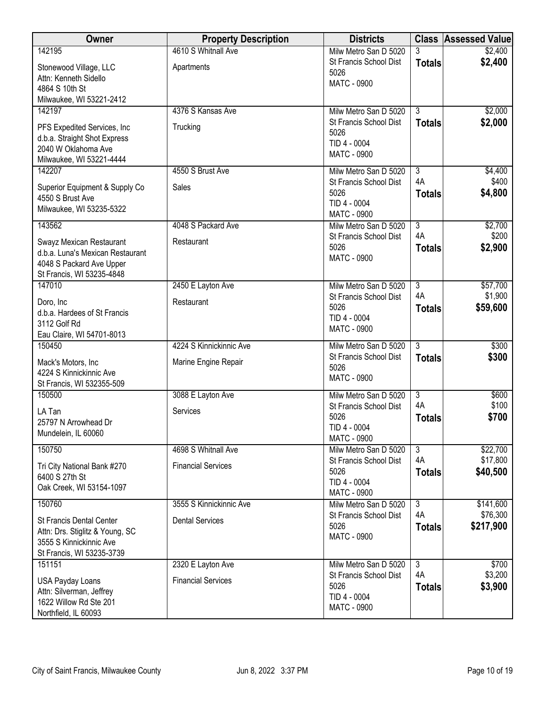| Owner                                                        | <b>Property Description</b> | <b>Districts</b>                                |                      | <b>Class Assessed Value</b> |
|--------------------------------------------------------------|-----------------------------|-------------------------------------------------|----------------------|-----------------------------|
| 142195                                                       | 4610 S Whitnall Ave         | Milw Metro San D 5020                           | 3                    | \$2,400                     |
| Stonewood Village, LLC                                       | Apartments                  | St Francis School Dist<br>5026                  | <b>Totals</b>        | \$2,400                     |
| Attn: Kenneth Sidello                                        |                             | MATC - 0900                                     |                      |                             |
| 4864 S 10th St                                               |                             |                                                 |                      |                             |
| Milwaukee, WI 53221-2412                                     |                             |                                                 |                      |                             |
| 142197                                                       | 4376 S Kansas Ave           | Milw Metro San D 5020<br>St Francis School Dist | $\overline{3}$       | \$2,000                     |
| PFS Expedited Services, Inc.                                 | Trucking                    | 5026                                            | <b>Totals</b>        | \$2,000                     |
| d.b.a. Straight Shot Express                                 |                             | TID 4 - 0004                                    |                      |                             |
| 2040 W Oklahoma Ave                                          |                             | MATC - 0900                                     |                      |                             |
| Milwaukee, WI 53221-4444                                     |                             |                                                 |                      |                             |
| 142207                                                       | 4550 S Brust Ave            | Milw Metro San D 5020                           | $\overline{3}$<br>4A | \$4,400<br>\$400            |
| Superior Equipment & Supply Co                               | Sales                       | St Francis School Dist<br>5026                  |                      | \$4,800                     |
| 4550 S Brust Ave                                             |                             | TID 4 - 0004                                    | <b>Totals</b>        |                             |
| Milwaukee, WI 53235-5322                                     |                             | MATC - 0900                                     |                      |                             |
| 143562                                                       | 4048 S Packard Ave          | Milw Metro San D 5020                           | $\overline{3}$       | \$2,700                     |
|                                                              |                             | St Francis School Dist                          | 4A                   | \$200                       |
| Swayz Mexican Restaurant<br>d.b.a. Luna's Mexican Restaurant | Restaurant                  | 5026                                            | <b>Totals</b>        | \$2,900                     |
| 4048 S Packard Ave Upper                                     |                             | MATC - 0900                                     |                      |                             |
| St Francis, WI 53235-4848                                    |                             |                                                 |                      |                             |
| 147010                                                       | 2450 E Layton Ave           | Milw Metro San D 5020                           | $\overline{3}$       | \$57,700                    |
|                                                              | Restaurant                  | St Francis School Dist                          | 4A                   | \$1,900                     |
| Doro, Inc<br>d.b.a. Hardees of St Francis                    |                             | 5026                                            | <b>Totals</b>        | \$59,600                    |
| 3112 Golf Rd                                                 |                             | TID 4 - 0004                                    |                      |                             |
| Eau Claire, WI 54701-8013                                    |                             | MATC - 0900                                     |                      |                             |
| 150450                                                       | 4224 S Kinnickinnic Ave     | Milw Metro San D 5020                           | $\overline{3}$       | \$300                       |
|                                                              |                             | St Francis School Dist                          | <b>Totals</b>        | \$300                       |
| Mack's Motors, Inc<br>4224 S Kinnickinnic Ave                | Marine Engine Repair        | 5026                                            |                      |                             |
| St Francis, WI 532355-509                                    |                             | <b>MATC - 0900</b>                              |                      |                             |
| 150500                                                       | 3088 E Layton Ave           | Milw Metro San D 5020                           | $\overline{3}$       | \$600                       |
|                                                              |                             | St Francis School Dist                          | 4A                   | \$100                       |
| LA Tan<br>25797 N Arrowhead Dr                               | Services                    | 5026                                            | <b>Totals</b>        | \$700                       |
| Mundelein, IL 60060                                          |                             | TID 4 - 0004                                    |                      |                             |
|                                                              |                             | <b>MATC - 0900</b>                              |                      |                             |
| 150750                                                       | 4698 S Whitnall Ave         | Milw Metro San D 5020                           | $\overline{3}$       | \$22,700                    |
| Tri City National Bank #270                                  | <b>Financial Services</b>   | St Francis School Dist                          | 4A                   | \$17,800                    |
| 6400 S 27th St                                               |                             | 5026<br>TID 4 - 0004                            | <b>Totals</b>        | \$40,500                    |
| Oak Creek, WI 53154-1097                                     |                             | MATC - 0900                                     |                      |                             |
| 150760                                                       | 3555 S Kinnickinnic Ave     | Milw Metro San D 5020                           | 3                    | \$141,600                   |
| <b>St Francis Dental Center</b>                              | <b>Dental Services</b>      | St Francis School Dist                          | 4A                   | \$76,300                    |
| Attn: Drs. Stiglitz & Young, SC                              |                             | 5026                                            | <b>Totals</b>        | \$217,900                   |
| 3555 S Kinnickinnic Ave                                      |                             | MATC - 0900                                     |                      |                             |
| St Francis, WI 53235-3739                                    |                             |                                                 |                      |                             |
| 151151                                                       | 2320 E Layton Ave           | Milw Metro San D 5020                           | $\overline{3}$       | \$700                       |
|                                                              | <b>Financial Services</b>   | St Francis School Dist                          | 4A                   | \$3,200                     |
| <b>USA Payday Loans</b><br>Attn: Silverman, Jeffrey          |                             | 5026                                            | <b>Totals</b>        | \$3,900                     |
| 1622 Willow Rd Ste 201                                       |                             | TID 4 - 0004                                    |                      |                             |
| Northfield, IL 60093                                         |                             | MATC - 0900                                     |                      |                             |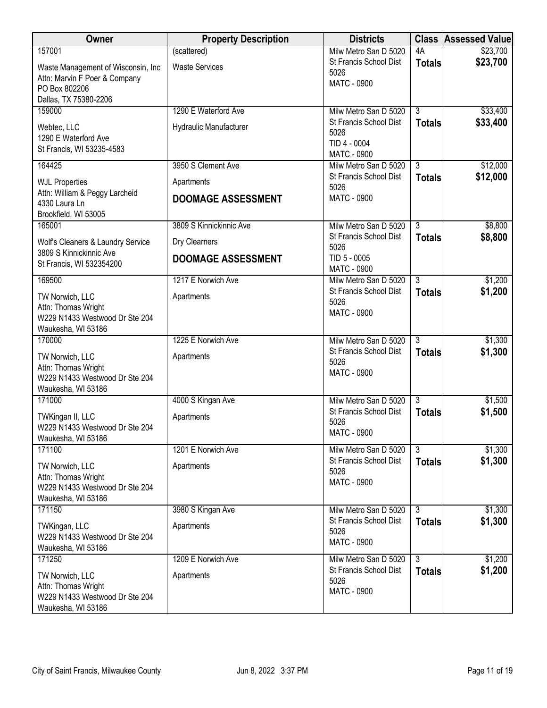| Owner                                                                                          | <b>Property Description</b>                    | <b>Districts</b>                                                                              |                                 | <b>Class Assessed Value</b> |
|------------------------------------------------------------------------------------------------|------------------------------------------------|-----------------------------------------------------------------------------------------------|---------------------------------|-----------------------------|
| 157001                                                                                         | (scattered)                                    | Milw Metro San D 5020                                                                         | 4A                              | \$23,700                    |
| Waste Management of Wisconsin, Inc.<br>Attn: Marvin F Poer & Company<br>PO Box 802206          | <b>Waste Services</b>                          | St Francis School Dist<br>5026<br><b>MATC - 0900</b>                                          | <b>Totals</b>                   | \$23,700                    |
| Dallas, TX 75380-2206                                                                          |                                                |                                                                                               |                                 |                             |
| 159000<br>Webtec, LLC<br>1290 E Waterford Ave<br>St Francis, WI 53235-4583                     | 1290 E Waterford Ave<br>Hydraulic Manufacturer | Milw Metro San D 5020<br>St Francis School Dist<br>5026<br>TID 4 - 0004<br><b>MATC - 0900</b> | $\overline{3}$<br><b>Totals</b> | \$33,400<br>\$33,400        |
| 164425                                                                                         | 3950 S Clement Ave                             | Milw Metro San D 5020                                                                         | $\overline{3}$                  | \$12,000                    |
| <b>WJL Properties</b><br>Attn: William & Peggy Larcheid                                        | Apartments                                     | St Francis School Dist<br>5026                                                                | <b>Totals</b>                   | \$12,000                    |
| 4330 Laura Ln<br>Brookfield, WI 53005                                                          | <b>DOOMAGE ASSESSMENT</b>                      | <b>MATC - 0900</b>                                                                            |                                 |                             |
| 165001                                                                                         | 3809 S Kinnickinnic Ave                        | Milw Metro San D 5020                                                                         | $\overline{3}$                  | \$8,800                     |
| Wolf's Cleaners & Laundry Service                                                              | Dry Clearners                                  | St Francis School Dist<br>5026                                                                | <b>Totals</b>                   | \$8,800                     |
| 3809 S Kinnickinnic Ave<br>St Francis, WI 532354200                                            | <b>DOOMAGE ASSESSMENT</b>                      | TID 5 - 0005<br><b>MATC - 0900</b>                                                            |                                 |                             |
| 169500                                                                                         | 1217 E Norwich Ave                             | Milw Metro San D 5020                                                                         | $\overline{3}$                  | \$1,200                     |
| TW Norwich, LLC<br>Attn: Thomas Wright<br>W229 N1433 Westwood Dr Ste 204<br>Waukesha, WI 53186 | Apartments                                     | St Francis School Dist<br>5026<br><b>MATC - 0900</b>                                          | <b>Totals</b>                   | \$1,200                     |
| 170000                                                                                         | 1225 E Norwich Ave                             | Milw Metro San D 5020                                                                         | $\overline{3}$                  | \$1,300                     |
| TW Norwich, LLC<br>Attn: Thomas Wright<br>W229 N1433 Westwood Dr Ste 204<br>Waukesha, WI 53186 | Apartments                                     | St Francis School Dist<br>5026<br><b>MATC - 0900</b>                                          | <b>Totals</b>                   | \$1,300                     |
| 171000                                                                                         | 4000 S Kingan Ave                              | Milw Metro San D 5020                                                                         | $\overline{3}$                  | \$1,500                     |
| TWKingan II, LLC<br>W229 N1433 Westwood Dr Ste 204<br>Waukesha, WI 53186                       | Apartments                                     | St Francis School Dist<br>5026<br><b>MATC - 0900</b>                                          | <b>Totals</b>                   | \$1,500                     |
| 171100                                                                                         | 1201 E Norwich Ave                             | Milw Metro San D 5020                                                                         | $\overline{3}$                  | \$1,300                     |
| TW Norwich, LLC<br>Attn: Thomas Wright<br>W229 N1433 Westwood Dr Ste 204<br>Waukesha, WI 53186 | Apartments                                     | St Francis School Dist<br>5026<br><b>MATC - 0900</b>                                          | <b>Totals</b>                   | \$1,300                     |
| 171150                                                                                         | 3980 S Kingan Ave                              | Milw Metro San D 5020                                                                         | $\overline{3}$                  | \$1,300                     |
| TWKingan, LLC<br>W229 N1433 Westwood Dr Ste 204<br>Waukesha, WI 53186                          | Apartments                                     | St Francis School Dist<br>5026<br><b>MATC - 0900</b>                                          | <b>Totals</b>                   | \$1,300                     |
| 171250                                                                                         | 1209 E Norwich Ave                             | Milw Metro San D 5020                                                                         | $\overline{3}$                  | \$1,200                     |
| TW Norwich, LLC<br>Attn: Thomas Wright<br>W229 N1433 Westwood Dr Ste 204<br>Waukesha, WI 53186 | Apartments                                     | St Francis School Dist<br>5026<br>MATC - 0900                                                 | <b>Totals</b>                   | \$1,200                     |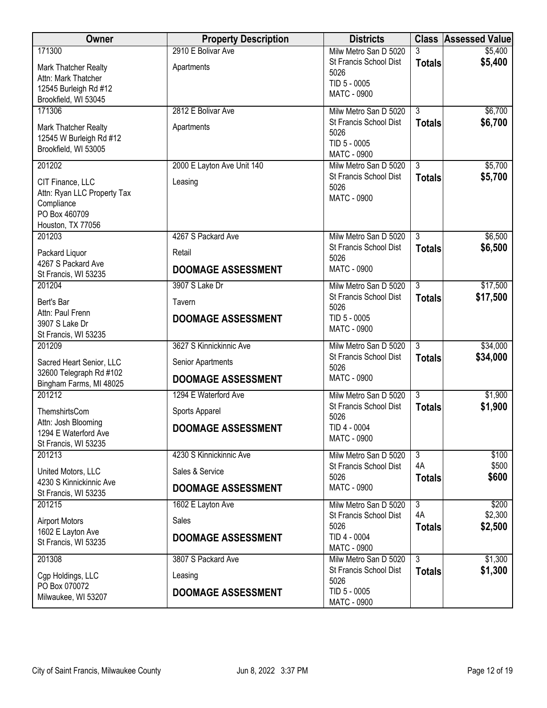| Owner                                                                                               | <b>Property Description</b> | <b>Districts</b>                                                     |                     | <b>Class Assessed Value</b> |
|-----------------------------------------------------------------------------------------------------|-----------------------------|----------------------------------------------------------------------|---------------------|-----------------------------|
| 171300                                                                                              | 2910 E Bolivar Ave          | Milw Metro San D 5020                                                | 3                   | \$5,400                     |
| Mark Thatcher Realty<br>Attn: Mark Thatcher                                                         | Apartments                  | St Francis School Dist<br>5026<br>TID 5 - 0005                       | <b>Totals</b>       | \$5,400                     |
| 12545 Burleigh Rd #12<br>Brookfield, WI 53045                                                       |                             | MATC - 0900                                                          |                     |                             |
| 171306                                                                                              | 2812 E Bolivar Ave          | Milw Metro San D 5020                                                | $\overline{3}$      | \$6,700                     |
| Mark Thatcher Realty<br>12545 W Burleigh Rd #12<br>Brookfield, WI 53005                             | Apartments                  | St Francis School Dist<br>5026<br>TID 5 - 0005<br><b>MATC - 0900</b> | <b>Totals</b>       | \$6,700                     |
| 201202                                                                                              | 2000 E Layton Ave Unit 140  | Milw Metro San D 5020                                                | $\overline{3}$      | \$5,700                     |
| CIT Finance, LLC<br>Attn: Ryan LLC Property Tax<br>Compliance<br>PO Box 460709<br>Houston, TX 77056 | Leasing                     | St Francis School Dist<br>5026<br><b>MATC - 0900</b>                 | <b>Totals</b>       | \$5,700                     |
| 201203                                                                                              | 4267 S Packard Ave          | Milw Metro San D 5020                                                | $\overline{3}$      | \$6,500                     |
| Packard Liquor                                                                                      | Retail                      | St Francis School Dist<br>5026                                       | <b>Totals</b>       | \$6,500                     |
| 4267 S Packard Ave<br>St Francis, WI 53235                                                          | <b>DOOMAGE ASSESSMENT</b>   | <b>MATC - 0900</b>                                                   |                     |                             |
| 201204                                                                                              | 3907 S Lake Dr              | Milw Metro San D 5020                                                | $\overline{3}$      | \$17,500                    |
| Bert's Bar                                                                                          | Tavern                      | St Francis School Dist<br>5026                                       | <b>Totals</b>       | \$17,500                    |
| Attn: Paul Frenn<br>3907 S Lake Dr<br>St Francis, WI 53235                                          | <b>DOOMAGE ASSESSMENT</b>   | TID 5 - 0005<br>MATC - 0900                                          |                     |                             |
| 201209                                                                                              | 3627 S Kinnickinnic Ave     | Milw Metro San D 5020                                                | $\overline{3}$      | \$34,000                    |
| Sacred Heart Senior, LLC                                                                            | Senior Apartments           | St Francis School Dist<br>5026                                       | <b>Totals</b>       | \$34,000                    |
| 32600 Telegraph Rd #102<br>Bingham Farms, MI 48025                                                  | <b>DOOMAGE ASSESSMENT</b>   | <b>MATC - 0900</b>                                                   |                     |                             |
| 201212                                                                                              | 1294 E Waterford Ave        | Milw Metro San D 5020                                                | $\overline{3}$      | \$1,900                     |
| ThemshirtsCom                                                                                       | Sports Apparel              | St Francis School Dist<br>5026                                       | <b>Totals</b>       | \$1,900                     |
| Attn: Josh Blooming<br>1294 E Waterford Ave<br>St Francis, WI 53235                                 | <b>DOOMAGE ASSESSMENT</b>   | TID 4 - 0004<br>MATC - 0900                                          |                     |                             |
| 201213                                                                                              | 4230 S Kinnickinnic Ave     | Milw Metro San D 5020                                                | $\overline{3}$      | \$100                       |
| United Motors, LLC                                                                                  | Sales & Service             | St Francis School Dist<br>5026                                       | 4A<br><b>Totals</b> | \$500<br>\$600              |
| 4230 S Kinnickinnic Ave<br>St Francis, WI 53235                                                     | <b>DOOMAGE ASSESSMENT</b>   | MATC - 0900                                                          |                     |                             |
| 201215                                                                                              | 1602 E Layton Ave           | Milw Metro San D 5020                                                | $\overline{3}$      | \$200                       |
| <b>Airport Motors</b>                                                                               | Sales                       | St Francis School Dist<br>5026                                       | 4A                  | \$2,300                     |
| 1602 E Layton Ave<br>St Francis, WI 53235                                                           | <b>DOOMAGE ASSESSMENT</b>   | TID 4 - 0004                                                         | <b>Totals</b>       | \$2,500                     |
| 201308                                                                                              | 3807 S Packard Ave          | MATC - 0900<br>Milw Metro San D 5020                                 | $\overline{3}$      | \$1,300                     |
|                                                                                                     |                             | St Francis School Dist                                               | <b>Totals</b>       | \$1,300                     |
| Cgp Holdings, LLC<br>PO Box 070072                                                                  | Leasing                     | 5026                                                                 |                     |                             |
| Milwaukee, WI 53207                                                                                 | <b>DOOMAGE ASSESSMENT</b>   | TID 5 - 0005<br><b>MATC - 0900</b>                                   |                     |                             |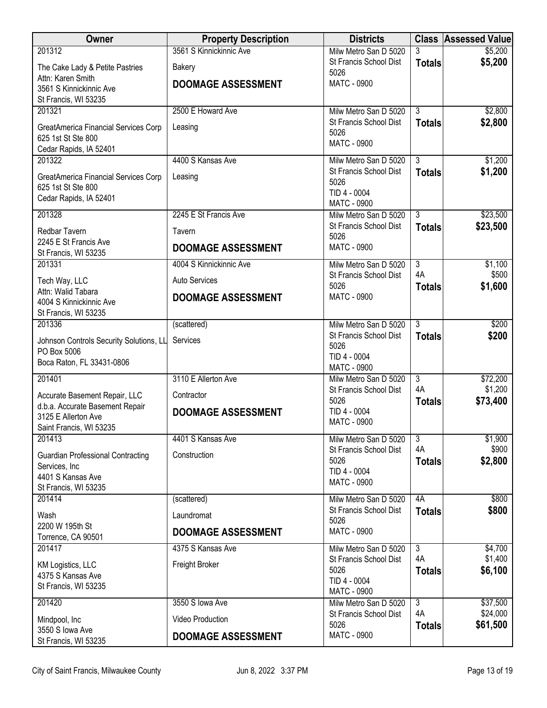| Owner                                           | <b>Property Description</b> | <b>Districts</b>                                |                                 | <b>Class Assessed Value</b> |
|-------------------------------------------------|-----------------------------|-------------------------------------------------|---------------------------------|-----------------------------|
| 201312                                          | 3561 S Kinnickinnic Ave     | Milw Metro San D 5020                           | 3                               | \$5,200                     |
| The Cake Lady & Petite Pastries                 | <b>Bakery</b>               | St Francis School Dist<br>5026                  | Totals                          | \$5,200                     |
| Attn: Karen Smith<br>3561 S Kinnickinnic Ave    | <b>DOOMAGE ASSESSMENT</b>   | MATC - 0900                                     |                                 |                             |
| St Francis, WI 53235                            |                             |                                                 |                                 |                             |
| 201321                                          | 2500 E Howard Ave           | Milw Metro San D 5020                           | $\overline{3}$                  | \$2,800                     |
| GreatAmerica Financial Services Corp            | Leasing                     | St Francis School Dist                          | <b>Totals</b>                   | \$2,800                     |
| 625 1st St Ste 800                              |                             | 5026<br><b>MATC - 0900</b>                      |                                 |                             |
| Cedar Rapids, IA 52401                          |                             |                                                 |                                 |                             |
| 201322                                          | 4400 S Kansas Ave           | Milw Metro San D 5020<br>St Francis School Dist | $\overline{3}$                  | \$1,200<br>\$1,200          |
| GreatAmerica Financial Services Corp            | Leasing                     | 5026                                            | <b>Totals</b>                   |                             |
| 625 1st St Ste 800<br>Cedar Rapids, IA 52401    |                             | TID 4 - 0004                                    |                                 |                             |
|                                                 |                             | MATC - 0900                                     |                                 |                             |
| 201328                                          | 2245 E St Francis Ave       | Milw Metro San D 5020<br>St Francis School Dist | $\overline{3}$<br><b>Totals</b> | \$23,500<br>\$23,500        |
| Redbar Tavern                                   | Tavern                      | 5026                                            |                                 |                             |
| 2245 E St Francis Ave<br>St Francis, WI 53235   | <b>DOOMAGE ASSESSMENT</b>   | <b>MATC - 0900</b>                              |                                 |                             |
| 201331                                          | 4004 S Kinnickinnic Ave     | Milw Metro San D 5020                           | $\overline{3}$                  | \$1,100                     |
| Tech Way, LLC                                   | <b>Auto Services</b>        | St Francis School Dist<br>5026                  | 4A                              | \$500                       |
| Attn: Walid Tabara                              | <b>DOOMAGE ASSESSMENT</b>   | MATC - 0900                                     | <b>Totals</b>                   | \$1,600                     |
| 4004 S Kinnickinnic Ave<br>St Francis, WI 53235 |                             |                                                 |                                 |                             |
| 201336                                          | (scattered)                 | Milw Metro San D 5020                           | $\overline{3}$                  | \$200                       |
| Johnson Controls Security Solutions, LL         | Services                    | St Francis School Dist                          | <b>Totals</b>                   | \$200                       |
| PO Box 5006                                     |                             | 5026                                            |                                 |                             |
| Boca Raton, FL 33431-0806                       |                             | TID 4 - 0004<br>MATC - 0900                     |                                 |                             |
| 201401                                          | 3110 E Allerton Ave         | Milw Metro San D 5020                           | $\overline{\overline{3}}$       | \$72,200                    |
| Accurate Basement Repair, LLC                   | Contractor                  | St Francis School Dist                          | 4A                              | \$1,200                     |
| d.b.a. Accurate Basement Repair                 | <b>DOOMAGE ASSESSMENT</b>   | 5026<br>TID 4 - 0004                            | <b>Totals</b>                   | \$73,400                    |
| 3125 E Allerton Ave<br>Saint Francis, WI 53235  |                             | MATC - 0900                                     |                                 |                             |
| 201413                                          | 4401 S Kansas Ave           | Milw Metro San D 5020                           | $\overline{3}$                  | \$1,900                     |
| <b>Guardian Professional Contracting</b>        | Construction                | St Francis School Dist                          | 4A                              | \$900                       |
| Services, Inc.                                  |                             | 5026<br>TID 4 - 0004                            | <b>Totals</b>                   | \$2,800                     |
| 4401 S Kansas Ave                               |                             | MATC - 0900                                     |                                 |                             |
| St Francis, WI 53235<br>201414                  | (scattered)                 | Milw Metro San D 5020                           | 4A                              | \$800                       |
|                                                 |                             | St Francis School Dist                          | <b>Totals</b>                   | \$800                       |
| Wash<br>2200 W 195th St                         | Laundromat                  | 5026                                            |                                 |                             |
| Torrence, CA 90501                              | <b>DOOMAGE ASSESSMENT</b>   | MATC - 0900                                     |                                 |                             |
| 201417                                          | 4375 S Kansas Ave           | Milw Metro San D 5020                           | $\overline{3}$                  | \$4,700                     |
| KM Logistics, LLC                               | Freight Broker              | St Francis School Dist<br>5026                  | 4A                              | \$1,400<br>\$6,100          |
| 4375 S Kansas Ave                               |                             | TID 4 - 0004                                    | <b>Totals</b>                   |                             |
| St Francis, WI 53235                            |                             | MATC - 0900                                     |                                 |                             |
| 201420                                          | 3550 S Iowa Ave             | Milw Metro San D 5020                           | $\overline{3}$                  | \$37,500                    |
| Mindpool, Inc                                   | Video Production            | St Francis School Dist<br>5026                  | 4A<br><b>Totals</b>             | \$24,000<br>\$61,500        |
| 3550 S lowa Ave<br>St Francis, WI 53235         | <b>DOOMAGE ASSESSMENT</b>   | <b>MATC - 0900</b>                              |                                 |                             |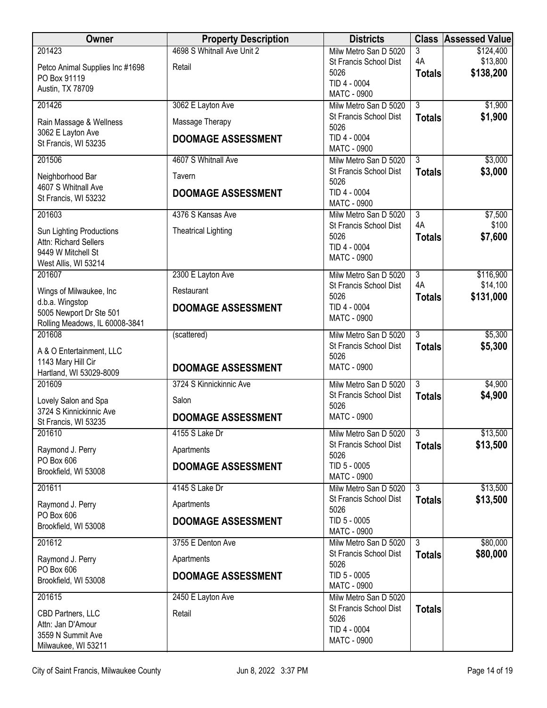| <b>Owner</b>                                   | <b>Property Description</b> | <b>Districts</b>                                |                     | <b>Class Assessed Value</b> |
|------------------------------------------------|-----------------------------|-------------------------------------------------|---------------------|-----------------------------|
| 201423                                         | 4698 S Whitnall Ave Unit 2  | Milw Metro San D 5020                           | 3                   | \$124,400                   |
| Petco Animal Supplies Inc #1698                | Retail                      | St Francis School Dist<br>5026                  | 4A                  | \$13,800<br>\$138,200       |
| PO Box 91119                                   |                             | TID 4 - 0004                                    | <b>Totals</b>       |                             |
| Austin, TX 78709                               |                             | MATC - 0900                                     |                     |                             |
| 201426                                         | 3062 E Layton Ave           | Milw Metro San D 5020                           | $\overline{3}$      | \$1,900                     |
| Rain Massage & Wellness<br>3062 E Layton Ave   | Massage Therapy             | St Francis School Dist<br>5026                  | <b>Totals</b>       | \$1,900                     |
| St Francis, WI 53235                           | <b>DOOMAGE ASSESSMENT</b>   | TID 4 - 0004<br><b>MATC - 0900</b>              |                     |                             |
| 201506                                         | 4607 S Whitnall Ave         | Milw Metro San D 5020                           | $\overline{3}$      | \$3,000                     |
| Neighborhood Bar                               | Tavern                      | St Francis School Dist<br>5026                  | <b>Totals</b>       | \$3,000                     |
| 4607 S Whitnall Ave<br>St Francis, WI 53232    | <b>DOOMAGE ASSESSMENT</b>   | TID 4 - 0004<br><b>MATC - 0900</b>              |                     |                             |
| 201603                                         | 4376 S Kansas Ave           | Milw Metro San D 5020                           | $\overline{3}$      | \$7,500                     |
| Sun Lighting Productions                       | <b>Theatrical Lighting</b>  | St Francis School Dist<br>5026                  | 4A<br><b>Totals</b> | \$100<br>\$7,600            |
| Attn: Richard Sellers                          |                             | TID 4 - 0004                                    |                     |                             |
| 9449 W Mitchell St<br>West Allis, WI 53214     |                             | <b>MATC - 0900</b>                              |                     |                             |
| 201607                                         | 2300 E Layton Ave           | Milw Metro San D 5020                           | $\overline{3}$      | \$116,900                   |
| Wings of Milwaukee, Inc                        | Restaurant                  | St Francis School Dist                          | 4A                  | \$14,100                    |
| d.b.a. Wingstop                                | <b>DOOMAGE ASSESSMENT</b>   | 5026<br>TID 4 - 0004                            | <b>Totals</b>       | \$131,000                   |
| 5005 Newport Dr Ste 501                        |                             | MATC - 0900                                     |                     |                             |
| Rolling Meadows, IL 60008-3841<br>201608       | (scattered)                 | Milw Metro San D 5020                           | $\overline{3}$      | \$5,300                     |
|                                                |                             | St Francis School Dist                          | <b>Totals</b>       | \$5,300                     |
| A & O Entertainment, LLC<br>1143 Mary Hill Cir |                             | 5026                                            |                     |                             |
| Hartland, WI 53029-8009                        | <b>DOOMAGE ASSESSMENT</b>   | MATC - 0900                                     |                     |                             |
| 201609                                         | 3724 S Kinnickinnic Ave     | Milw Metro San D 5020                           | $\overline{3}$      | \$4,900                     |
| Lovely Salon and Spa                           | Salon                       | St Francis School Dist                          | <b>Totals</b>       | \$4,900                     |
| 3724 S Kinnickinnic Ave                        | <b>DOOMAGE ASSESSMENT</b>   | 5026<br><b>MATC - 0900</b>                      |                     |                             |
| St Francis, WI 53235<br>201610                 | 4155 S Lake Dr              | Milw Metro San D 5020                           | $\sqrt{3}$          | \$13,500                    |
| Raymond J. Perry                               | Apartments                  | St Francis School Dist                          | <b>Totals</b>       | \$13,500                    |
| PO Box 606                                     |                             | 5026<br>TID 5 - 0005                            |                     |                             |
| Brookfield, WI 53008                           | <b>DOOMAGE ASSESSMENT</b>   | MATC - 0900                                     |                     |                             |
| 201611                                         | 4145 S Lake Dr              | Milw Metro San D 5020<br>St Francis School Dist | $\overline{3}$      | \$13,500                    |
| Raymond J. Perry<br>PO Box 606                 | Apartments                  | 5026                                            | <b>Totals</b>       | \$13,500                    |
| Brookfield, WI 53008                           | <b>DOOMAGE ASSESSMENT</b>   | TID 5 - 0005<br>MATC - 0900                     |                     |                             |
| 201612                                         | 3755 E Denton Ave           | Milw Metro San D 5020                           | $\overline{3}$      | \$80,000                    |
| Raymond J. Perry                               | Apartments                  | St Francis School Dist<br>5026                  | <b>Totals</b>       | \$80,000                    |
| PO Box 606                                     | <b>DOOMAGE ASSESSMENT</b>   | TID 5 - 0005                                    |                     |                             |
| Brookfield, WI 53008                           |                             | MATC - 0900                                     |                     |                             |
| 201615                                         | 2450 E Layton Ave           | Milw Metro San D 5020                           |                     |                             |
| CBD Partners, LLC                              | Retail                      | St Francis School Dist<br>5026                  | <b>Totals</b>       |                             |
| Attn: Jan D'Amour<br>3559 N Summit Ave         |                             | TID 4 - 0004                                    |                     |                             |
| Milwaukee, WI 53211                            |                             | MATC - 0900                                     |                     |                             |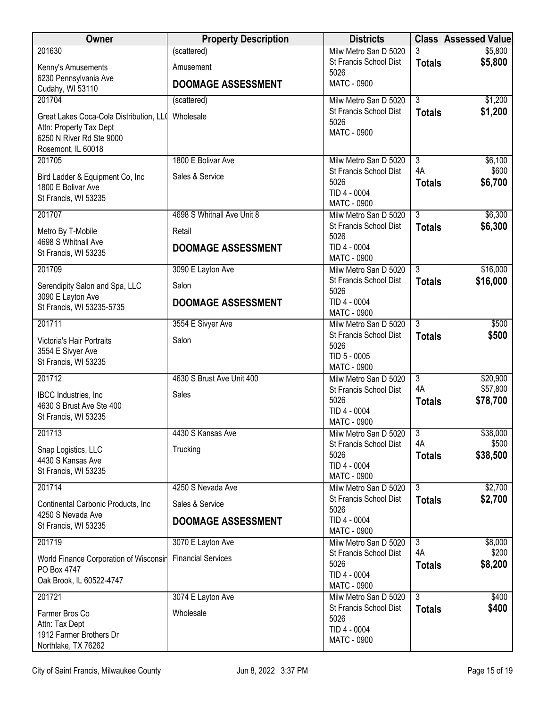| <b>Owner</b>                                                                                                         | <b>Property Description</b> | <b>Districts</b>                                                     |                     | <b>Class Assessed Value</b> |
|----------------------------------------------------------------------------------------------------------------------|-----------------------------|----------------------------------------------------------------------|---------------------|-----------------------------|
| 201630                                                                                                               | (scattered)                 | Milw Metro San D 5020                                                | 3                   | \$5,800                     |
| Kenny's Amusements                                                                                                   | Amusement                   | St Francis School Dist<br>5026                                       | <b>Totals</b>       | \$5,800                     |
| 6230 Pennsylvania Ave<br>Cudahy, WI 53110                                                                            | <b>DOOMAGE ASSESSMENT</b>   | <b>MATC - 0900</b>                                                   |                     |                             |
| 201704                                                                                                               | (scattered)                 | Milw Metro San D 5020                                                | $\overline{3}$      | \$1,200                     |
| Great Lakes Coca-Cola Distribution, LLO<br>Attn: Property Tax Dept<br>6250 N River Rd Ste 9000<br>Rosemont, IL 60018 | Wholesale                   | St Francis School Dist<br>5026<br><b>MATC - 0900</b>                 | <b>Totals</b>       | \$1,200                     |
| 201705                                                                                                               | 1800 E Bolivar Ave          | Milw Metro San D 5020                                                | $\overline{3}$      | \$6,100                     |
| Bird Ladder & Equipment Co, Inc.<br>1800 E Bolivar Ave<br>St Francis, WI 53235                                       | Sales & Service             | St Francis School Dist<br>5026<br>TID 4 - 0004<br><b>MATC - 0900</b> | 4A<br><b>Totals</b> | \$600<br>\$6,700            |
| 201707                                                                                                               | 4698 S Whitnall Ave Unit 8  | Milw Metro San D 5020                                                | $\overline{3}$      | \$6,300                     |
| Metro By T-Mobile                                                                                                    | Retail                      | St Francis School Dist                                               | <b>Totals</b>       | \$6,300                     |
| 4698 S Whitnall Ave<br>St Francis, WI 53235                                                                          | <b>DOOMAGE ASSESSMENT</b>   | 5026<br>TID 4 - 0004<br><b>MATC - 0900</b>                           |                     |                             |
| 201709                                                                                                               | 3090 E Layton Ave           | Milw Metro San D 5020                                                | $\overline{3}$      | \$16,000                    |
| Serendipity Salon and Spa, LLC                                                                                       | Salon                       | St Francis School Dist<br>5026                                       | <b>Totals</b>       | \$16,000                    |
| 3090 E Layton Ave<br>St Francis, WI 53235-5735                                                                       | <b>DOOMAGE ASSESSMENT</b>   | TID 4 - 0004<br><b>MATC - 0900</b>                                   |                     |                             |
| 201711                                                                                                               | 3554 E Sivyer Ave           | Milw Metro San D 5020                                                | $\overline{3}$      | \$500                       |
| Victoria's Hair Portraits<br>3554 E Sivyer Ave<br>St Francis, WI 53235                                               | Salon                       | St Francis School Dist<br>5026<br>TID 5 - 0005<br><b>MATC - 0900</b> | <b>Totals</b>       | \$500                       |
| 201712                                                                                                               | 4630 S Brust Ave Unit 400   | Milw Metro San D 5020                                                | $\overline{3}$      | \$20,900                    |
| IBCC Industries, Inc.<br>4630 S Brust Ave Ste 400<br>St Francis, WI 53235                                            | Sales                       | St Francis School Dist<br>5026<br>TID 4 - 0004<br><b>MATC - 0900</b> | 4A<br><b>Totals</b> | \$57,800<br>\$78,700        |
| 201713                                                                                                               | 4430 S Kansas Ave           | Milw Metro San D 5020 3                                              |                     | \$38,000                    |
| Snap Logistics, LLC<br>4430 S Kansas Ave<br>St Francis, WI 53235                                                     | Trucking                    | St Francis School Dist<br>5026<br>TID 4 - 0004<br>MATC - 0900        | 4A<br><b>Totals</b> | \$500<br>\$38,500           |
| 201714                                                                                                               | 4250 S Nevada Ave           | Milw Metro San D 5020                                                | $\overline{3}$      | \$2,700                     |
| Continental Carbonic Products, Inc<br>4250 S Nevada Ave                                                              | Sales & Service             | St Francis School Dist<br>5026                                       | <b>Totals</b>       | \$2,700                     |
| St Francis, WI 53235                                                                                                 | <b>DOOMAGE ASSESSMENT</b>   | TID 4 - 0004<br><b>MATC - 0900</b>                                   |                     |                             |
| 201719                                                                                                               | 3070 E Layton Ave           | Milw Metro San D 5020                                                | $\overline{3}$      | \$8,000                     |
| World Finance Corporation of Wisconsin<br>PO Box 4747<br>Oak Brook, IL 60522-4747                                    | <b>Financial Services</b>   | St Francis School Dist<br>5026<br>TID 4 - 0004<br>MATC - 0900        | 4A<br><b>Totals</b> | \$200<br>\$8,200            |
| 201721                                                                                                               | 3074 E Layton Ave           | Milw Metro San D 5020                                                | $\overline{3}$      | \$400                       |
| Farmer Bros Co<br>Attn: Tax Dept<br>1912 Farmer Brothers Dr<br>Northlake, TX 76262                                   | Wholesale                   | St Francis School Dist<br>5026<br>TID 4 - 0004<br><b>MATC - 0900</b> | <b>Totals</b>       | \$400                       |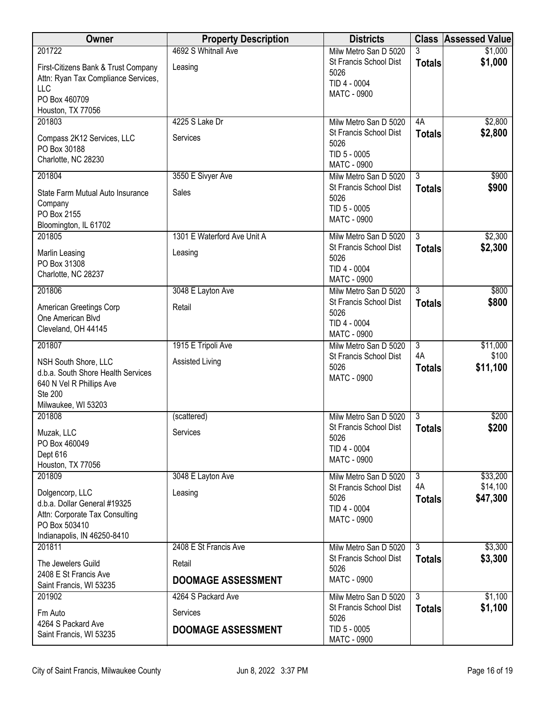| Owner                                                      | <b>Property Description</b> | <b>Districts</b>                                | <b>Class</b>                    | <b>Assessed Value</b> |
|------------------------------------------------------------|-----------------------------|-------------------------------------------------|---------------------------------|-----------------------|
| 201722                                                     | 4692 S Whitnall Ave         | Milw Metro San D 5020                           | 3                               | \$1,000               |
| First-Citizens Bank & Trust Company                        | Leasing                     | St Francis School Dist<br>5026                  | <b>Totals</b>                   | \$1,000               |
| Attn: Ryan Tax Compliance Services,<br><b>LLC</b>          |                             | TID 4 - 0004                                    |                                 |                       |
| PO Box 460709                                              |                             | <b>MATC - 0900</b>                              |                                 |                       |
| Houston, TX 77056                                          |                             |                                                 |                                 |                       |
| 201803                                                     | 4225 S Lake Dr              | Milw Metro San D 5020                           | 4A                              | \$2,800               |
| Compass 2K12 Services, LLC                                 | Services                    | St Francis School Dist<br>5026                  | <b>Totals</b>                   | \$2,800               |
| PO Box 30188                                               |                             | TID 5 - 0005                                    |                                 |                       |
| Charlotte, NC 28230                                        |                             | <b>MATC - 0900</b>                              |                                 |                       |
| 201804                                                     | 3550 E Sivyer Ave           | Milw Metro San D 5020<br>St Francis School Dist | $\overline{3}$<br><b>Totals</b> | \$900<br>\$900        |
| State Farm Mutual Auto Insurance                           | Sales                       | 5026                                            |                                 |                       |
| Company<br>PO Box 2155                                     |                             | TID 5 - 0005                                    |                                 |                       |
| Bloomington, IL 61702                                      |                             | MATC - 0900                                     |                                 |                       |
| 201805                                                     | 1301 E Waterford Ave Unit A | Milw Metro San D 5020                           | $\overline{3}$                  | \$2,300               |
| Marlin Leasing                                             | Leasing                     | St Francis School Dist<br>5026                  | <b>Totals</b>                   | \$2,300               |
| PO Box 31308<br>Charlotte, NC 28237                        |                             | TID 4 - 0004                                    |                                 |                       |
|                                                            |                             | <b>MATC - 0900</b>                              |                                 |                       |
| 201806                                                     | 3048 E Layton Ave           | Milw Metro San D 5020<br>St Francis School Dist | $\overline{3}$<br><b>Totals</b> | \$800<br>\$800        |
| American Greetings Corp                                    | Retail                      | 5026                                            |                                 |                       |
| One American Blvd<br>Cleveland, OH 44145                   |                             | TID 4 - 0004                                    |                                 |                       |
| 201807                                                     | 1915 E Tripoli Ave          | <b>MATC - 0900</b><br>Milw Metro San D 5020     | $\overline{3}$                  | \$11,000              |
|                                                            |                             | St Francis School Dist                          | 4A                              | \$100                 |
| NSH South Shore, LLC<br>d.b.a. South Shore Health Services | Assisted Living             | 5026                                            | <b>Totals</b>                   | \$11,100              |
| 640 N Vel R Phillips Ave                                   |                             | <b>MATC - 0900</b>                              |                                 |                       |
| <b>Ste 200</b>                                             |                             |                                                 |                                 |                       |
| Milwaukee, WI 53203<br>201808                              | (scattered)                 | Milw Metro San D 5020                           | $\overline{3}$                  | \$200                 |
|                                                            |                             | St Francis School Dist                          | <b>Totals</b>                   | \$200                 |
| Muzak, LLC<br>PO Box 460049                                | Services                    | 5026                                            |                                 |                       |
| Dept 616                                                   |                             | TID 4 - 0004<br>MATC - 0900                     |                                 |                       |
| Houston, TX 77056                                          |                             |                                                 |                                 |                       |
| 201809                                                     | 3048 E Layton Ave           | Milw Metro San D 5020<br>St Francis School Dist | $\overline{3}$<br>4A            | \$33,200<br>\$14,100  |
| Dolgencorp, LLC<br>d.b.a. Dollar General #19325            | Leasing                     | 5026                                            | <b>Totals</b>                   | \$47,300              |
| Attn: Corporate Tax Consulting                             |                             | TID 4 - 0004                                    |                                 |                       |
| PO Box 503410                                              |                             | <b>MATC - 0900</b>                              |                                 |                       |
| Indianapolis, IN 46250-8410                                |                             |                                                 |                                 |                       |
| 201811                                                     | 2408 E St Francis Ave       | Milw Metro San D 5020<br>St Francis School Dist | $\overline{3}$<br><b>Totals</b> | \$3,300<br>\$3,300    |
| The Jewelers Guild<br>2408 E St Francis Ave                | Retail                      | 5026                                            |                                 |                       |
| Saint Francis, WI 53235                                    | <b>DOOMAGE ASSESSMENT</b>   | <b>MATC - 0900</b>                              |                                 |                       |
| 201902                                                     | 4264 S Packard Ave          | Milw Metro San D 5020                           | $\overline{3}$                  | \$1,100               |
| Fm Auto                                                    | Services                    | St Francis School Dist<br>5026                  | <b>Totals</b>                   | \$1,100               |
| 4264 S Packard Ave                                         | <b>DOOMAGE ASSESSMENT</b>   | TID 5 - 0005                                    |                                 |                       |
| Saint Francis, WI 53235                                    |                             | <b>MATC - 0900</b>                              |                                 |                       |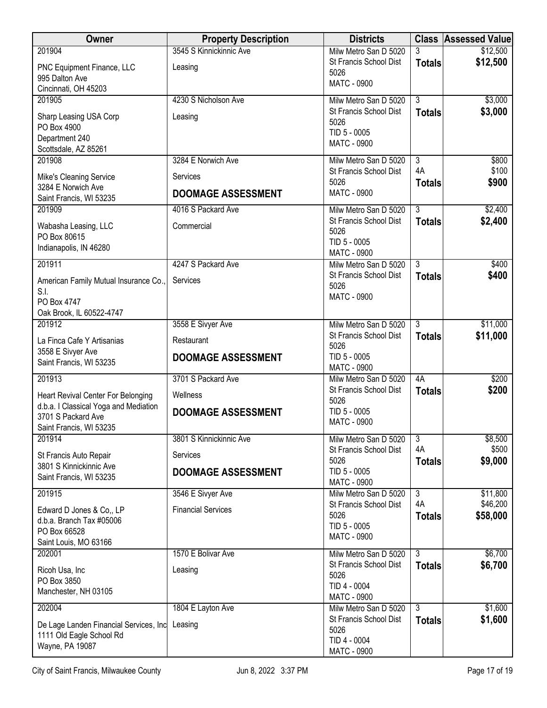| Owner                                                                       | <b>Property Description</b> | <b>Districts</b>                                |                                 | <b>Class Assessed Value</b> |
|-----------------------------------------------------------------------------|-----------------------------|-------------------------------------------------|---------------------------------|-----------------------------|
| 201904                                                                      | 3545 S Kinnickinnic Ave     | Milw Metro San D 5020                           | 3                               | \$12,500                    |
| PNC Equipment Finance, LLC                                                  | Leasing                     | St Francis School Dist<br>5026                  | <b>Totals</b>                   | \$12,500                    |
| 995 Dalton Ave                                                              |                             | <b>MATC - 0900</b>                              |                                 |                             |
| Cincinnati, OH 45203<br>201905                                              | 4230 S Nicholson Ave        | Milw Metro San D 5020                           | $\overline{3}$                  | \$3,000                     |
|                                                                             |                             | St Francis School Dist                          | <b>Totals</b>                   | \$3,000                     |
| Sharp Leasing USA Corp<br>PO Box 4900                                       | Leasing                     | 5026                                            |                                 |                             |
| Department 240                                                              |                             | TID 5 - 0005                                    |                                 |                             |
| Scottsdale, AZ 85261                                                        |                             | <b>MATC - 0900</b>                              |                                 |                             |
| 201908                                                                      | 3284 E Norwich Ave          | Milw Metro San D 5020                           | $\overline{3}$                  | \$800                       |
| Mike's Cleaning Service                                                     | Services                    | St Francis School Dist<br>5026                  | 4A<br><b>Totals</b>             | \$100<br>\$900              |
| 3284 E Norwich Ave                                                          | <b>DOOMAGE ASSESSMENT</b>   | <b>MATC - 0900</b>                              |                                 |                             |
| Saint Francis, WI 53235<br>201909                                           | 4016 S Packard Ave          | Milw Metro San D 5020                           | $\overline{3}$                  | \$2,400                     |
|                                                                             | Commercial                  | St Francis School Dist                          | <b>Totals</b>                   | \$2,400                     |
| Wabasha Leasing, LLC<br>PO Box 80615                                        |                             | 5026                                            |                                 |                             |
| Indianapolis, IN 46280                                                      |                             | TID 5 - 0005<br>MATC - 0900                     |                                 |                             |
| 201911                                                                      | 4247 S Packard Ave          | Milw Metro San D 5020                           | $\overline{3}$                  | \$400                       |
| American Family Mutual Insurance Co.,                                       | Services                    | St Francis School Dist                          | <b>Totals</b>                   | \$400                       |
| S.I.                                                                        |                             | 5026                                            |                                 |                             |
| PO Box 4747                                                                 |                             | <b>MATC - 0900</b>                              |                                 |                             |
| Oak Brook, IL 60522-4747                                                    |                             |                                                 |                                 |                             |
| 201912                                                                      | 3558 E Sivyer Ave           | Milw Metro San D 5020<br>St Francis School Dist | $\overline{3}$<br><b>Totals</b> | \$11,000<br>\$11,000        |
| La Finca Cafe Y Artisanias                                                  | Restaurant                  | 5026                                            |                                 |                             |
| 3558 E Sivyer Ave<br>Saint Francis, WI 53235                                | <b>DOOMAGE ASSESSMENT</b>   | TID 5 - 0005                                    |                                 |                             |
| 201913                                                                      | 3701 S Packard Ave          | <b>MATC - 0900</b><br>Milw Metro San D 5020     | 4A                              | \$200                       |
|                                                                             |                             | St Francis School Dist                          | <b>Totals</b>                   | \$200                       |
| Heart Revival Center For Belonging<br>d.b.a. I Classical Yoga and Mediation | Wellness                    | 5026                                            |                                 |                             |
| 3701 S Packard Ave                                                          | <b>DOOMAGE ASSESSMENT</b>   | TID 5 - 0005                                    |                                 |                             |
| Saint Francis, WI 53235                                                     |                             | <b>MATC - 0900</b>                              |                                 |                             |
| 201914                                                                      | 3801 S Kinnickinnic Ave     | Milw Metro San D 5020                           | $\overline{3}$                  | \$8,500                     |
| St Francis Auto Repair                                                      | Services                    | St Francis School Dist<br>5026                  | 4A<br><b>Totals</b>             | \$500<br>\$9,000            |
| 3801 S Kinnickinnic Ave<br>Saint Francis, WI 53235                          | <b>DOOMAGE ASSESSMENT</b>   | TID 5 - 0005                                    |                                 |                             |
| 201915                                                                      | 3546 E Sivyer Ave           | <b>MATC - 0900</b><br>Milw Metro San D 5020     | 3                               | \$11,800                    |
|                                                                             |                             | St Francis School Dist                          | 4A                              | \$46,200                    |
| Edward D Jones & Co., LP<br>d.b.a. Branch Tax #05006                        | <b>Financial Services</b>   | 5026                                            | <b>Totals</b>                   | \$58,000                    |
| PO Box 66528                                                                |                             | TID 5 - 0005                                    |                                 |                             |
| Saint Louis, MO 63166                                                       |                             | <b>MATC - 0900</b>                              |                                 |                             |
| 202001                                                                      | 1570 E Bolivar Ave          | Milw Metro San D 5020                           | $\overline{3}$                  | \$6,700                     |
| Ricoh Usa, Inc                                                              | Leasing                     | St Francis School Dist<br>5026                  | <b>Totals</b>                   | \$6,700                     |
| PO Box 3850<br>Manchester, NH 03105                                         |                             | TID 4 - 0004                                    |                                 |                             |
|                                                                             |                             | <b>MATC - 0900</b>                              |                                 |                             |
| 202004                                                                      | 1804 E Layton Ave           | Milw Metro San D 5020<br>St Francis School Dist | $\overline{3}$                  | \$1,600<br>\$1,600          |
| De Lage Landen Financial Services, Inc                                      | Leasing                     | 5026                                            | <b>Totals</b>                   |                             |
| 1111 Old Eagle School Rd<br>Wayne, PA 19087                                 |                             | TID 4 - 0004                                    |                                 |                             |
|                                                                             |                             | MATC - 0900                                     |                                 |                             |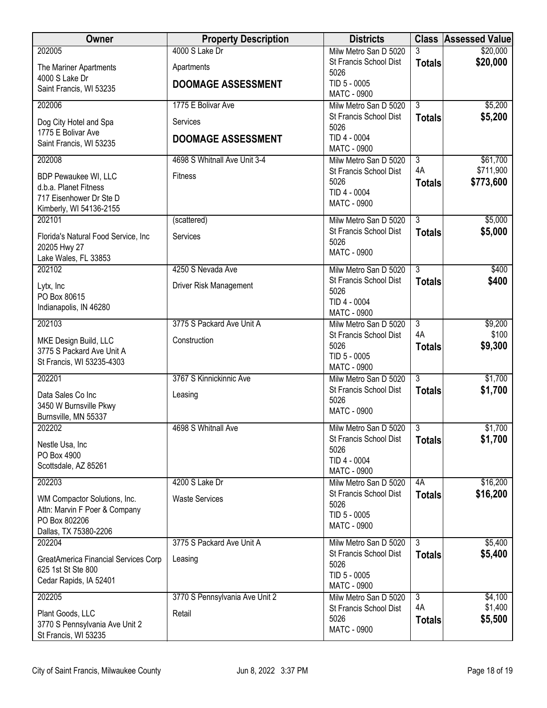| Owner                                                | <b>Property Description</b>    | <b>Districts</b>                                |                                 | <b>Class Assessed Value</b> |
|------------------------------------------------------|--------------------------------|-------------------------------------------------|---------------------------------|-----------------------------|
| 202005                                               | 4000 S Lake Dr                 | Milw Metro San D 5020                           | 3                               | \$20,000                    |
| The Mariner Apartments                               | Apartments                     | St Francis School Dist<br>5026                  | <b>Totals</b>                   | \$20,000                    |
| 4000 S Lake Dr<br>Saint Francis, WI 53235            | <b>DOOMAGE ASSESSMENT</b>      | TID 5 - 0005                                    |                                 |                             |
|                                                      |                                | <b>MATC - 0900</b>                              |                                 |                             |
| 202006                                               | 1775 E Bolivar Ave             | Milw Metro San D 5020<br>St Francis School Dist | $\overline{3}$<br><b>Totals</b> | \$5,200<br>\$5,200          |
| Dog City Hotel and Spa<br>1775 E Bolivar Ave         | Services                       | 5026                                            |                                 |                             |
| Saint Francis, WI 53235                              | <b>DOOMAGE ASSESSMENT</b>      | TID 4 - 0004                                    |                                 |                             |
| 202008                                               | 4698 S Whitnall Ave Unit 3-4   | <b>MATC - 0900</b><br>Milw Metro San D 5020     | $\overline{3}$                  | \$61,700                    |
|                                                      |                                | St Francis School Dist                          | 4A                              | \$711,900                   |
| <b>BDP Pewaukee WI, LLC</b><br>d.b.a. Planet Fitness | <b>Fitness</b>                 | 5026                                            | <b>Totals</b>                   | \$773,600                   |
| 717 Eisenhower Dr Ste D                              |                                | TID 4 - 0004                                    |                                 |                             |
| Kimberly, WI 54136-2155                              |                                | <b>MATC - 0900</b>                              |                                 |                             |
| 202101                                               | (scattered)                    | Milw Metro San D 5020<br>St Francis School Dist | $\overline{3}$                  | \$5,000                     |
| Florida's Natural Food Service, Inc.                 | Services                       | 5026                                            | <b>Totals</b>                   | \$5,000                     |
| 20205 Hwy 27<br>Lake Wales, FL 33853                 |                                | <b>MATC - 0900</b>                              |                                 |                             |
| 202102                                               | 4250 S Nevada Ave              | Milw Metro San D 5020                           | $\overline{3}$                  | \$400                       |
| Lytx, Inc                                            | Driver Risk Management         | St Francis School Dist                          | <b>Totals</b>                   | \$400                       |
| PO Box 80615                                         |                                | 5026                                            |                                 |                             |
| Indianapolis, IN 46280                               |                                | TID 4 - 0004<br><b>MATC - 0900</b>              |                                 |                             |
| 202103                                               | 3775 S Packard Ave Unit A      | Milw Metro San D 5020                           | $\overline{3}$                  | \$9,200                     |
| MKE Design Build, LLC                                | Construction                   | St Francis School Dist                          | 4A                              | \$100                       |
| 3775 S Packard Ave Unit A                            |                                | 5026<br>TID 5 - 0005                            | <b>Totals</b>                   | \$9,300                     |
| St Francis, WI 53235-4303                            |                                | <b>MATC - 0900</b>                              |                                 |                             |
| 202201                                               | 3767 S Kinnickinnic Ave        | Milw Metro San D 5020                           | $\overline{3}$                  | \$1,700                     |
| Data Sales Co Inc                                    | Leasing                        | St Francis School Dist<br>5026                  | <b>Totals</b>                   | \$1,700                     |
| 3450 W Burnsville Pkwy                               |                                | <b>MATC - 0900</b>                              |                                 |                             |
| Burnsville, MN 55337<br>202202                       | 4698 S Whitnall Ave            | Milw Metro San D 5020                           | $\overline{3}$                  | \$1,700                     |
| Nestle Usa, Inc.                                     |                                | St Francis School Dist                          | <b>Totals</b>                   | \$1,700                     |
| PO Box 4900                                          |                                | 5026                                            |                                 |                             |
| Scottsdale, AZ 85261                                 |                                | TID 4 - 0004<br><b>MATC - 0900</b>              |                                 |                             |
| 202203                                               | 4200 S Lake Dr                 | Milw Metro San D 5020                           | 4A                              | \$16,200                    |
| WM Compactor Solutions, Inc.                         | <b>Waste Services</b>          | St Francis School Dist                          | <b>Totals</b>                   | \$16,200                    |
| Attn: Marvin F Poer & Company                        |                                | 5026<br>TID 5 - 0005                            |                                 |                             |
| PO Box 802206                                        |                                | <b>MATC - 0900</b>                              |                                 |                             |
| Dallas, TX 75380-2206<br>202204                      | 3775 S Packard Ave Unit A      | Milw Metro San D 5020                           | $\overline{3}$                  | \$5,400                     |
| GreatAmerica Financial Services Corp                 | Leasing                        | St Francis School Dist                          | <b>Totals</b>                   | \$5,400                     |
| 625 1st St Ste 800                                   |                                | 5026                                            |                                 |                             |
| Cedar Rapids, IA 52401                               |                                | TID 5 - 0005<br><b>MATC - 0900</b>              |                                 |                             |
| 202205                                               | 3770 S Pennsylvania Ave Unit 2 | Milw Metro San D 5020                           | $\overline{3}$                  | \$4,100                     |
| Plant Goods, LLC                                     | Retail                         | St Francis School Dist                          | 4A                              | \$1,400                     |
| 3770 S Pennsylvania Ave Unit 2                       |                                | 5026<br>MATC - 0900                             | <b>Totals</b>                   | \$5,500                     |
| St Francis, WI 53235                                 |                                |                                                 |                                 |                             |